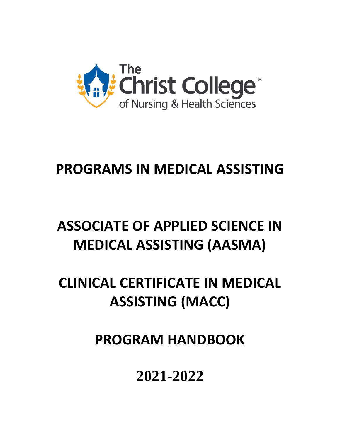

# **PROGRAMS IN MEDICAL ASSISTING**

# **ASSOCIATE OF APPLIED SCIENCE IN MEDICAL ASSISTING (AASMA)**

# **CLINICAL CERTIFICATE IN MEDICAL ASSISTING (MACC)**

**PROGRAM HANDBOOK**

**2021-2022**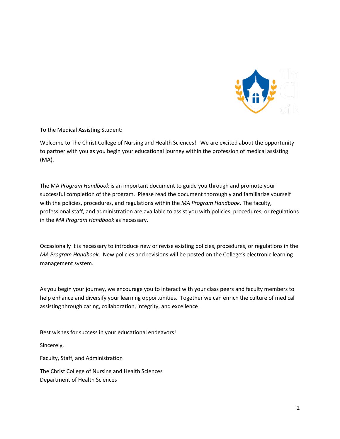

To the Medical Assisting Student:

Welcome to The Christ College of Nursing and Health Sciences! We are excited about the opportunity to partner with you as you begin your educational journey within the profession of medical assisting (MA).

The MA *Program Handbook* is an important document to guide you through and promote your successful completion of the program. Please read the document thoroughly and familiarize yourself with the policies, procedures, and regulations within the *MA Program Handbook*. The faculty, professional staff, and administration are available to assist you with policies, procedures, or regulations in the *MA Program Handbook* as necessary.

Occasionally it is necessary to introduce new or revise existing policies, procedures, or regulations in the *MA Program Handbook*. New policies and revisions will be posted on the College's electronic learning management system.

As you begin your journey, we encourage you to interact with your class peers and faculty members to help enhance and diversify your learning opportunities. Together we can enrich the culture of medical assisting through caring, collaboration, integrity, and excellence!

Best wishes for success in your educational endeavors!

Sincerely,

Faculty, Staff, and Administration

The Christ College of Nursing and Health Sciences Department of Health Sciences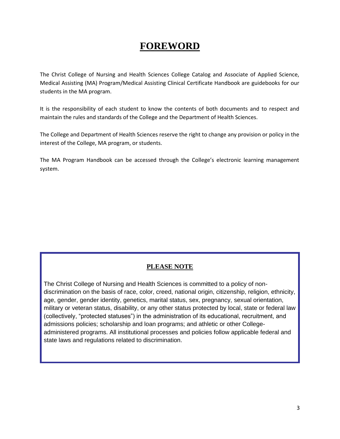# **FOREWORD**

The Christ College of Nursing and Health Sciences College Catalog and Associate of Applied Science, Medical Assisting (MA) Program/Medical Assisting Clinical Certificate Handbook are guidebooks for our students in the MA program.

It is the responsibility of each student to know the contents of both documents and to respect and maintain the rules and standards of the College and the Department of Health Sciences.

The College and Department of Health Sciences reserve the right to change any provision or policy in the interest of the College, MA program, or students.

The MA Program Handbook can be accessed through the College's electronic learning management system.

## **PLEASE NOTE**

The Christ College of Nursing and Health Sciences is committed to a policy of nondiscrimination on the basis of race, color, creed, national origin, citizenship, religion, ethnicity, age, gender, gender identity, genetics, marital status, sex, pregnancy, sexual orientation, military or veteran status, disability, or any other status protected by local, state or federal law (collectively, "protected statuses") in the administration of its educational, recruitment, and admissions policies; scholarship and loan programs; and athletic or other Collegeadministered programs. All institutional processes and policies follow applicable federal and state laws and regulations related to discrimination.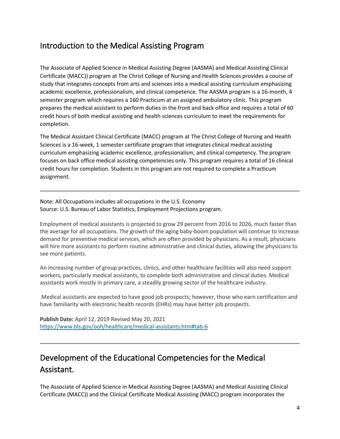# <span id="page-3-0"></span>Introduction to the Medical Assisting Program

The Associate of Applied Science in Medical Assisting Degree (AASMA) and Medical Assisting Clinical Certificate (MACC)) program at The Christ College of Nursing and Health Sciences provides a course of study that integrates concepts from arts and sciences into a medical assisting curriculum emphasizing academic excellence, professionalism, and clinical competence. The AASMA program is a 16-month, 4 semester program which requires a 160 Practicum at an assigned ambulatory clinic. This program prepares the medical assistant to perform duties in the front and back office and requires a total of 60 credit hours of both medical assisting and health sciences curriculum to meet the requirements for completion.

The Medical Assistant Clinical Certificate (MACC) program at The Christ College of Nursing and Health Sciences is a 16-week, 1 semester certificate program that integrates clinical medical assisting curriculum emphasizing academic excellence, professionalism, and clinical competency. The program focuses on back office medical assisting competencies only. This program requires a total of 16 clinical credit hours for completion. Students in this program are not required to complete a Practicum assignment.

Note: All Occupations includes all occupations in the U.S. Economy Source: U.S. Bureau of Labor Statistics, Employment Projections program.

Employment of medical assistants is projected to grow 29 percent from 2016 to 2026, much faster than the average for all occupations. The growth of the aging baby-boom population will continue to increase demand for preventive medical services, which are often provided by physicians. As a result, physicians will hire more assistants to perform routine administrative and clinical duties, allowing the physicians to see more patients.

An increasing number of group practices, clinics, and other healthcare facilities will also need support workers, particularly medical assistants, to complete both administrative and clinical duties. Medical assistants work mostly in primary care, a steadily growing sector of the healthcare industry.

Medical assistants are expected to have good job prospects; however, those who earn certification and have familiarity with electronic health records (EHRs) may have better job prospects.

**Publish Date:** April 12, 2019 Revised May 20, 2021 <https://www.bls.gov/ooh/healthcare/medical-assistants.htm#tab-6>

# <span id="page-3-1"></span>Development of the Educational Competencies for the Medical Assistant.

The Associate of Applied Science in Medical Assisting Degree (AASMA) and Medical Assisting Clinical Certificate (MACC)) and the Clinical Certificate Medical Assisting (MACC) program incorporates the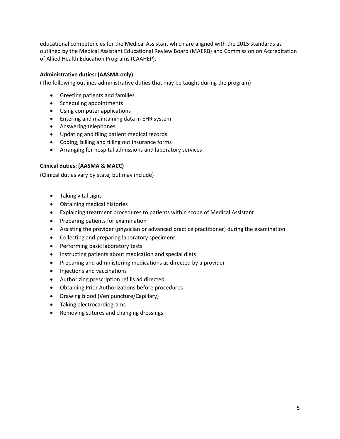educational competencies for the Medical Assistant which are aligned with the 2015 standards as outlined by the Medical Assistant Educational Review Board (MAERB) and Commission on Accreditation of Allied Health Education Programs (CAAHEP).

#### <span id="page-4-0"></span>**Administrative duties: (AASMA only)**

(The following outlines administrative duties that may be taught during the program)

- Greeting patients and families
- Scheduling appointments
- Using computer applications
- Entering and maintaining data in EHR system
- Answering telephones
- Updating and filing patient medical records
- Coding, billing and filling out insurance forms
- Arranging for hospital admissions and laboratory services

#### <span id="page-4-1"></span>**Clinical duties: (AASMA & MACC)**

<span id="page-4-2"></span>(Clinical duties vary by state, but may include)

- Taking vital signs
- Obtaining medical histories
- Explaining treatment procedures to patients within scope of Medical Assistant
- Preparing patients for examination
- Assisting the provider (physician or advanced practice practitioner) during the examination
- Collecting and preparing laboratory specimens
- Performing basic laboratory tests
- Instructing patients about medication and special diets
- Preparing and administering medications as directed by a provider
- Injections and vaccinations
- Authorizing prescription refills ad directed
- Obtaining Prior Authorizations before procedures
- Drawing blood (Venipuncture/Capillary)
- Taking electrocardiograms
- Removing sutures and changing dressings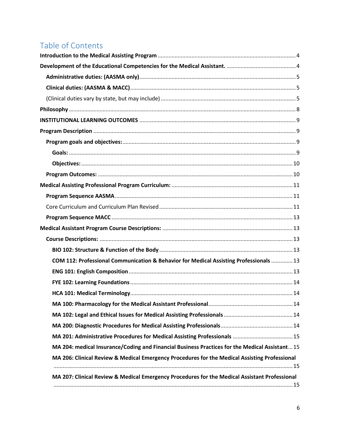# Table of Contents

| COM 112: Professional Communication & Behavior for Medical Assisting Professionals  13         |  |
|------------------------------------------------------------------------------------------------|--|
|                                                                                                |  |
|                                                                                                |  |
|                                                                                                |  |
|                                                                                                |  |
|                                                                                                |  |
|                                                                                                |  |
|                                                                                                |  |
| MA 204: medical Insurance/Coding and Financial Business Practices for the Medical Assistant 15 |  |
| MA 206: Clinical Review & Medical Emergency Procedures for the Medical Assisting Professional  |  |
|                                                                                                |  |
| MA 207: Clinical Review & Medical Emergency Procedures for the Medical Assistant Professional  |  |
|                                                                                                |  |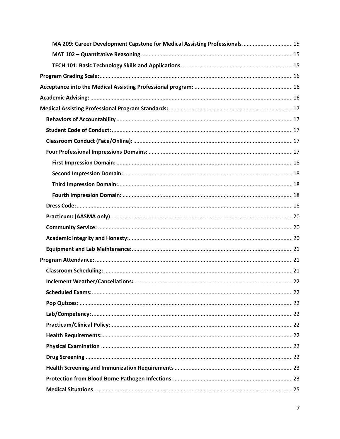| MA 209: Career Development Capstone for Medical Assisting Professionals 15 |  |
|----------------------------------------------------------------------------|--|
|                                                                            |  |
|                                                                            |  |
|                                                                            |  |
|                                                                            |  |
|                                                                            |  |
|                                                                            |  |
|                                                                            |  |
|                                                                            |  |
|                                                                            |  |
|                                                                            |  |
|                                                                            |  |
|                                                                            |  |
|                                                                            |  |
|                                                                            |  |
|                                                                            |  |
|                                                                            |  |
|                                                                            |  |
|                                                                            |  |
|                                                                            |  |
|                                                                            |  |
|                                                                            |  |
|                                                                            |  |
|                                                                            |  |
|                                                                            |  |
|                                                                            |  |
|                                                                            |  |
|                                                                            |  |
|                                                                            |  |
|                                                                            |  |
|                                                                            |  |
|                                                                            |  |
|                                                                            |  |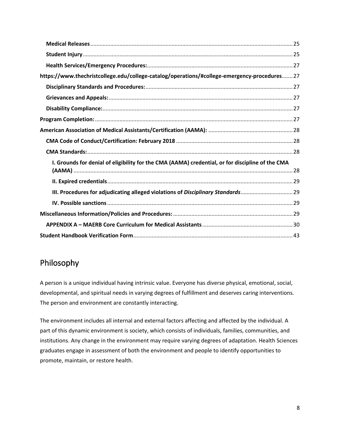| https://www.thechristcollege.edu/college-catalog/operations/#college-emergency-procedures 27     |  |
|--------------------------------------------------------------------------------------------------|--|
|                                                                                                  |  |
|                                                                                                  |  |
|                                                                                                  |  |
|                                                                                                  |  |
|                                                                                                  |  |
|                                                                                                  |  |
|                                                                                                  |  |
| I. Grounds for denial of eligibility for the CMA (AAMA) credential, or for discipline of the CMA |  |
|                                                                                                  |  |
|                                                                                                  |  |
| III. Procedures for adjudicating alleged violations of Disciplinary Standards29                  |  |
|                                                                                                  |  |
|                                                                                                  |  |
|                                                                                                  |  |
|                                                                                                  |  |

# <span id="page-7-0"></span>Philosophy

A person is a unique individual having intrinsic value. Everyone has diverse physical, emotional, social, developmental, and spiritual needs in varying degrees of fulfillment and deserves caring interventions. The person and environment are constantly interacting.

The environment includes all internal and external factors affecting and affected by the individual. A part of this dynamic environment is society, which consists of individuals, families, communities, and institutions. Any change in the environment may require varying degrees of adaptation. Health Sciences graduates engage in assessment of both the environment and people to identify opportunities to promote, maintain, or restore health.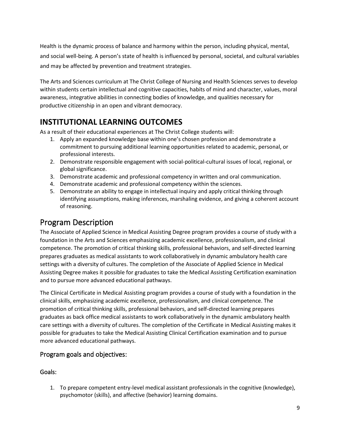Health is the dynamic process of balance and harmony within the person, including physical, mental, and social well-being. A person's state of health is influenced by personal, societal, and cultural variables and may be affected by prevention and treatment strategies.

The Arts and Sciences curriculum at The Christ College of Nursing and Health Sciences serves to develop within students certain intellectual and cognitive capacities, habits of mind and character, values, moral awareness, integrative abilities in connecting bodies of knowledge, and qualities necessary for productive citizenship in an open and vibrant democracy.

# <span id="page-8-0"></span>**INSTITUTIONAL LEARNING OUTCOMES**

As a result of their educational experiences at The Christ College students will:

- 1. Apply an expanded knowledge base within one's chosen profession and demonstrate a commitment to pursuing additional learning opportunities related to academic, personal, or professional interests.
- 2. Demonstrate responsible engagement with social-political-cultural issues of local, regional, or global significance.
- 3. Demonstrate academic and professional competency in written and oral communication.
- 4. Demonstrate academic and professional competency within the sciences.
- 5. Demonstrate an ability to engage in intellectual inquiry and apply critical thinking through identifying assumptions, making inferences, marshaling evidence, and giving a coherent account of reasoning.

# <span id="page-8-1"></span>Program Description

The Associate of Applied Science in Medical Assisting Degree program provides a course of study with a foundation in the Arts and Sciences emphasizing academic excellence, professionalism, and clinical competence. The promotion of critical thinking skills, professional behaviors, and self-directed learning prepares graduates as medical assistants to work collaboratively in dynamic ambulatory health care settings with a diversity of cultures. The completion of the Associate of Applied Science in Medical Assisting Degree makes it possible for graduates to take the Medical Assisting Certification examination and to pursue more advanced educational pathways.

The Clinical Certificate in Medical Assisting program provides a course of study with a foundation in the clinical skills, emphasizing academic excellence, professionalism, and clinical competence. The promotion of critical thinking skills, professional behaviors, and self-directed learning prepares graduates as back office medical assistants to work collaboratively in the dynamic ambulatory health care settings with a diversity of cultures. The completion of the Certificate in Medical Assisting makes it possible for graduates to take the Medical Assisting Clinical Certification examination and to pursue more advanced educational pathways.

## <span id="page-8-2"></span>Program goals and objectives:

### <span id="page-8-3"></span>Goals:

1. To prepare competent entry-level medical assistant professionals in the cognitive (knowledge), psychomotor (skills), and affective (behavior) learning domains.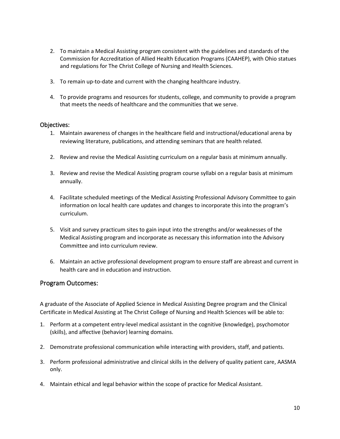- 2. To maintain a Medical Assisting program consistent with the guidelines and standards of the Commission for Accreditation of Allied Health Education Programs (CAAHEP), with Ohio statues and regulations for The Christ College of Nursing and Health Sciences.
- 3. To remain up-to-date and current with the changing healthcare industry.
- 4. To provide programs and resources for students, college, and community to provide a program that meets the needs of healthcare and the communities that we serve.

#### <span id="page-9-0"></span>Objectives:

- 1. Maintain awareness of changes in the healthcare field and instructional/educational arena by reviewing literature, publications, and attending seminars that are health related.
- 2. Review and revise the Medical Assisting curriculum on a regular basis at minimum annually.
- 3. Review and revise the Medical Assisting program course syllabi on a regular basis at minimum annually.
- 4. Facilitate scheduled meetings of the Medical Assisting Professional Advisory Committee to gain information on local health care updates and changes to incorporate this into the program's curriculum.
- 5. Visit and survey practicum sites to gain input into the strengths and/or weaknesses of the Medical Assisting program and incorporate as necessary this information into the Advisory Committee and into curriculum review.
- 6. Maintain an active professional development program to ensure staff are abreast and current in health care and in education and instruction.

#### <span id="page-9-1"></span>Program Outcomes:

A graduate of the Associate of Applied Science in Medical Assisting Degree program and the Clinical Certificate in Medical Assisting at The Christ College of Nursing and Health Sciences will be able to:

- 1. Perform at a competent entry-level medical assistant in the cognitive (knowledge), psychomotor (skills), and affective (behavior) learning domains.
- 2. Demonstrate professional communication while interacting with providers, staff, and patients.
- 3. Perform professional administrative and clinical skills in the delivery of quality patient care, AASMA only.
- 4. Maintain ethical and legal behavior within the scope of practice for Medical Assistant.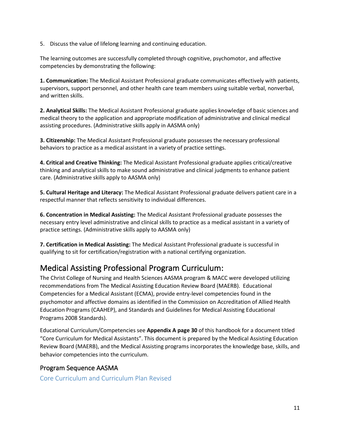5. Discuss the value of lifelong learning and continuing education.

The learning outcomes are successfully completed through cognitive, psychomotor, and affective competencies by demonstrating the following:

**1. Communication:** The Medical Assistant Professional graduate communicates effectively with patients, supervisors, support personnel, and other health care team members using suitable verbal, nonverbal, and written skills.

**2. Analytical Skills:** The Medical Assistant Professional graduate applies knowledge of basic sciences and medical theory to the application and appropriate modification of administrative and clinical medical assisting procedures. (Administrative skills apply in AASMA only)

**3. Citizenship:** The Medical Assistant Professional graduate possesses the necessary professional behaviors to practice as a medical assistant in a variety of practice settings.

**4. Critical and Creative Thinking:** The Medical Assistant Professional graduate applies critical/creative thinking and analytical skills to make sound administrative and clinical judgments to enhance patient care. (Administrative skills apply to AASMA only)

**5. Cultural Heritage and Literacy:** The Medical Assistant Professional graduate delivers patient care in a respectful manner that reflects sensitivity to individual differences.

**6. Concentration in Medical Assisting:** The Medical Assistant Professional graduate possesses the necessary entry level administrative and clinical skills to practice as a medical assistant in a variety of practice settings. (Administrative skills apply to AASMA only)

**7. Certification in Medical Assisting:** The Medical Assistant Professional graduate is successful in qualifying to sit for certification/registration with a national certifying organization.

# <span id="page-10-0"></span>Medical Assisting Professional Program Curriculum:

The Christ College of Nursing and Health Sciences AASMA program & MACC were developed utilizing recommendations from The Medical Assisting Education Review Board (MAERB). Educational Competencies for a Medical Assistant (ECMA), provide entry-level competencies found in the psychomotor and affective domains as identified in the Commission on Accreditation of Allied Health Education Programs (CAAHEP), and Standards and Guidelines for Medical Assisting Educational Programs 2008 Standards).

Educational Curriculum/Competencies see **Appendix A page 30** of this handbook for a document titled "Core Curriculum for Medical Assistants". This document is prepared by the Medical Assisting Education Review Board (MAERB), and the Medical Assisting programs incorporates the knowledge base, skills, and behavior competencies into the curriculum.

## <span id="page-10-1"></span>Program Sequence AASMA

<span id="page-10-2"></span>Core Curriculum and Curriculum Plan Revised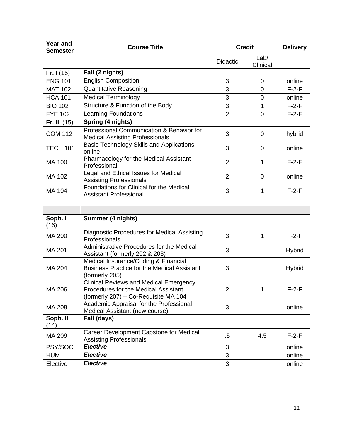| <b>Year and</b><br><b>Semester</b> | <b>Course Title</b>                                                                                                           | <b>Credit</b><br><b>Delivery</b> |                  |               |
|------------------------------------|-------------------------------------------------------------------------------------------------------------------------------|----------------------------------|------------------|---------------|
|                                    |                                                                                                                               | <b>Didactic</b>                  | Lab/<br>Clinical |               |
| Fr. $1(15)$                        | Fall (2 nights)                                                                                                               |                                  |                  |               |
| <b>ENG 101</b>                     | <b>English Composition</b>                                                                                                    | 3                                | $\mathbf 0$      | online        |
| <b>MAT 102</b>                     | <b>Quantitative Reasoning</b>                                                                                                 | 3                                | $\overline{0}$   | $F-2-F$       |
| <b>HCA 101</b>                     | <b>Medical Terminology</b>                                                                                                    | 3                                | 0                | online        |
| <b>BIO 102</b>                     | Structure & Function of the Body                                                                                              | 3                                | $\mathbf{1}$     | $F-2-F$       |
| <b>FYE 102</b>                     | <b>Learning Foundations</b>                                                                                                   | $\overline{2}$                   | 0                | $F-2-F$       |
| Fr. II $(15)$                      | Spring (4 nights)                                                                                                             |                                  |                  |               |
| <b>COM 112</b>                     | Professional Communication & Behavior for<br><b>Medical Assisting Professionals</b>                                           | 3                                | $\mathbf 0$      | hybrid        |
| <b>TECH 101</b>                    | <b>Basic Technology Skills and Applications</b><br>online                                                                     | 3                                | 0                | online        |
| <b>MA 100</b>                      | Pharmacology for the Medical Assistant<br>Professional                                                                        | $\overline{2}$                   | 1                | $F-2-F$       |
| MA 102                             | Legal and Ethical Issues for Medical<br><b>Assisting Professionals</b>                                                        | $\overline{2}$                   | $\mathbf 0$      | online        |
| MA 104                             | Foundations for Clinical for the Medical<br><b>Assistant Professional</b>                                                     | 3                                | 1                | $F-2-F$       |
|                                    |                                                                                                                               |                                  |                  |               |
|                                    |                                                                                                                               |                                  |                  |               |
| Soph. I<br>(16)                    | Summer (4 nights)                                                                                                             |                                  |                  |               |
| MA 200                             | <b>Diagnostic Procedures for Medical Assisting</b><br>Professionals                                                           | 3                                | $\mathbf{1}$     | $F-2-F$       |
| MA 201                             | Administrative Procedures for the Medical<br>Assistant (formerly 202 & 203)                                                   | 3                                |                  | <b>Hybrid</b> |
| MA 204                             | Medical Insurance/Coding & Financial<br><b>Business Practice for the Medical Assistant</b><br>(formerly 205)                  | 3                                |                  | Hybrid        |
| MA 206                             | <b>Clinical Reviews and Medical Emergency</b><br>Procedures for the Medical Assistant<br>(formerly 207) – Co-Requisite MA 104 | $\overline{2}$                   | 1                | $F-2-F$       |
| MA 208                             | Academic Appraisal for the Professional<br>Medical Assistant (new course)                                                     | 3                                |                  | online        |
| Soph. II<br>(14)                   | Fall (days)                                                                                                                   |                                  |                  |               |
| MA 209                             | Career Development Capstone for Medical<br><b>Assisting Professionals</b>                                                     | $.5\,$                           | 4.5              | $F-2-F$       |
| PSY/SOC                            | <b>Elective</b>                                                                                                               | 3                                |                  | online        |
| <b>HUM</b>                         | <b>Elective</b>                                                                                                               | $\mathfrak{S}$                   |                  | online        |
| Elective                           | <b>Elective</b>                                                                                                               | 3                                |                  | online        |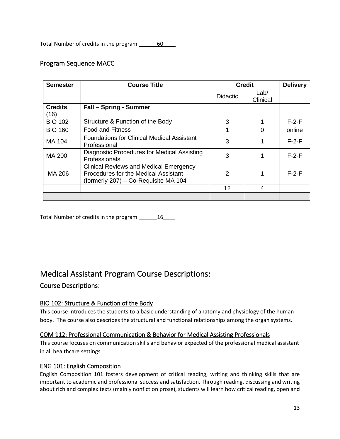Total Number of credits in the program \_\_\_\_\_\_\_60\_\_\_\_

## <span id="page-12-0"></span>Program Sequence MACC

| <b>Semester</b>        | <b>Course Title</b>                                                                                                                  | <b>Credit</b><br><b>Delivery</b> |                  |         |  |
|------------------------|--------------------------------------------------------------------------------------------------------------------------------------|----------------------------------|------------------|---------|--|
|                        |                                                                                                                                      | <b>Didactic</b>                  | Lab/<br>Clinical |         |  |
| <b>Credits</b><br>(16) | <b>Fall - Spring - Summer</b>                                                                                                        |                                  |                  |         |  |
| <b>BIO 102</b>         | Structure & Function of the Body                                                                                                     | 3                                |                  | $F-2-F$ |  |
| <b>BIO 160</b>         | Food and Fitness                                                                                                                     | ◢                                |                  | online  |  |
| MA 104                 | <b>Foundations for Clinical Medical Assistant</b><br>Professional                                                                    | 3                                |                  | $F-2-F$ |  |
| <b>MA 200</b>          | Diagnostic Procedures for Medical Assisting<br>Professionals                                                                         | 3                                |                  | $F-2-F$ |  |
| MA 206                 | <b>Clinical Reviews and Medical Emergency</b><br><b>Procedures for the Medical Assistant</b><br>(formerly 207) – Co-Requisite MA 104 | 2                                |                  | $F-2-F$ |  |
|                        |                                                                                                                                      | 12                               | 4                |         |  |
|                        |                                                                                                                                      |                                  |                  |         |  |

Total Number of credits in the program 16

# <span id="page-12-1"></span>Medical Assistant Program Course Descriptions:

<span id="page-12-2"></span>Course Descriptions:

### <span id="page-12-3"></span>BIO 102: Structure & Function of the Body

This course introduces the students to a basic understanding of anatomy and physiology of the human body. The course also describes the structural and functional relationships among the organ systems.

### <span id="page-12-4"></span>COM 112: Professional Communication & Behavior for Medical Assisting Professionals

This course focuses on communication skills and behavior expected of the professional medical assistant in all healthcare settings.

#### <span id="page-12-5"></span>ENG 101: English Composition

English Composition 101 fosters development of critical reading, writing and thinking skills that are important to academic and professional success and satisfaction. Through reading, discussing and writing about rich and complex texts (mainly nonfiction prose), students will learn how critical reading, open and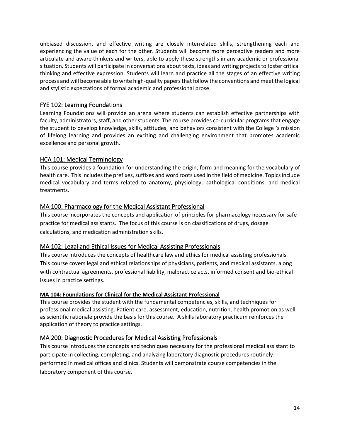unbiased discussion, and effective writing are closely interrelated skills, strengthening each and experiencing the value of each for the other. Students will become more perceptive readers and more articulate and aware thinkers and writers, able to apply these strengths in any academic or professional situation. Students will participate in conversations about texts, ideas and writing projects to foster critical thinking and effective expression. Students will learn and practice all the stages of an effective writing process and will become able to write high-quality papers that follow the conventions and meet the logical and stylistic expectations of formal academic and professional prose.

#### <span id="page-13-0"></span>FYE 102: Learning Foundations

Learning Foundations will provide an arena where students can establish effective partnerships with faculty, administrators, staff, and other students. The course provides co-curricular programs that engage the student to develop knowledge, skills, attitudes, and behaviors consistent with the College 's mission of lifelong learning and provides an exciting and challenging environment that promotes academic excellence and personal growth.

#### <span id="page-13-1"></span>HCA 101: Medical Terminology

This course provides a foundation for understanding the origin, form and meaning for the vocabulary of health care. This includes the prefixes, suffixes and word roots used in the field of medicine. Topics include medical vocabulary and terms related to anatomy, physiology, pathological conditions, and medical treatments.

#### <span id="page-13-2"></span>MA 100: Pharmacology for the Medical Assistant Professional

This course incorporates the concepts and application of principles for pharmacology necessary for safe practice for medical assistants. The focus of this course is on classifications of drugs, dosage calculations, and medication administration skills.

#### <span id="page-13-3"></span>MA 102: Legal and Ethical Issues for Medical Assisting Professionals

This course introduces the concepts of healthcare law and ethics for medical assisting professionals. This course covers legal and ethical relationships of physicians, patients, and medical assistants, along with contractual agreements, professional liability, malpractice acts, informed consent and bio-ethical issues in practice settings.

#### **MA 104: Foundations for Clinical for the Medical Assistant Professional**

This course provides the student with the fundamental competencies, skills, and techniques for professional medical assisting. Patient care, assessment, education, nutrition, health promotion as well as scientific rationale provide the basis for this course. A skills laboratory practicum reinforces the application of theory to practice settings.

### <span id="page-13-4"></span>MA 200: Diagnostic Procedures for Medical Assisting Professionals

This course introduces the concepts and techniques necessary for the professional medical assistant to participate in collecting, completing, and analyzing laboratory diagnostic procedures routinely performed in medical offices and clinics. Students will demonstrate course competencies in the laboratory component of this course.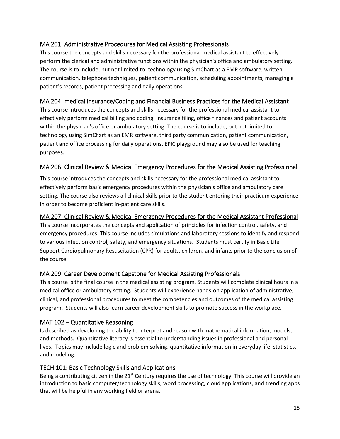## <span id="page-14-0"></span>MA 201: Administrative Procedures for Medical Assisting Professionals

This course the concepts and skills necessary for the professional medical assistant to effectively perform the clerical and administrative functions within the physician's office and ambulatory setting. The course is to include, but not limited to: technology using SimChart as a EMR software, written communication, telephone techniques, patient communication, scheduling appointments, managing a patient's records, patient processing and daily operations.

### <span id="page-14-1"></span>MA 204: medical Insurance/Coding and Financial Business Practices for the Medical Assistant

This course introduces the concepts and skills necessary for the professional medical assistant to effectively perform medical billing and coding, insurance filing, office finances and patient accounts within the physician's office or ambulatory setting. The course is to include, but not limited to: technology using SimChart as an EMR software, third party communication, patient communication, patient and office processing for daily operations. EPIC playground may also be used for teaching purposes.

## <span id="page-14-2"></span>MA 206: Clinical Review & Medical Emergency Procedures for the Medical Assisting Professional

This course introduces the concepts and skills necessary for the professional medical assistant to effectively perform basic emergency procedures within the physician's office and ambulatory care setting. The course also reviews all clinical skills prior to the student entering their practicum experience in order to become proficient in-patient care skills.

## <span id="page-14-3"></span>MA 207: Clinical Review & Medical Emergency Procedures for the Medical Assistant Professional

This course incorporates the concepts and application of principles for infection control, safety, and emergency procedures. This course includes simulations and laboratory sessions to identify and respond to various infection control, safety, and emergency situations. Students must certify in Basic Life Support Cardiopulmonary Resuscitation (CPR) for adults, children, and infants prior to the conclusion of the course.

### <span id="page-14-4"></span>MA 209: Career Development Capstone for Medical Assisting Professionals

This course is the final course in the medical assisting program. Students will complete clinical hours in a medical office or ambulatory setting. Students will experience hands-on application of administrative, clinical, and professional procedures to meet the competencies and outcomes of the medical assisting program. Students will also learn career development skills to promote success in the workplace.

### <span id="page-14-5"></span>MAT 102 – Quantitative Reasoning

Is described as developing the ability to interpret and reason with mathematical information, models, and methods. Quantitative literacy is essential to understanding issues in professional and personal lives. Topics may include logic and problem solving, quantitative information in everyday life, statistics, and modeling.

### <span id="page-14-6"></span>TECH 101: Basic Technology Skills and Applications

Being a contributing citizen in the  $21<sup>st</sup>$  Century requires the use of technology. This course will provide an introduction to basic computer/technology skills, word processing, cloud applications, and trending apps that will be helpful in any working field or arena.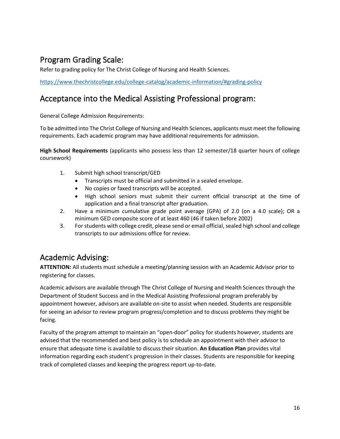# <span id="page-15-0"></span>Program Grading Scale:

Refer to grading policy for The Christ College of Nursing and Health Sciences.

<https://www.thechristcollege.edu/college-catalog/academic-information/#grading-policy>

# <span id="page-15-1"></span>Acceptance into the Medical Assisting Professional program:

General College Admission Requirements:

To be admitted into The Christ College of Nursing and Health Sciences, applicants must meet the following requirements. Each academic program may have additional requirements for admission.

**High School Requirements** (applicants who possess less than 12 semester/18 quarter hours of college coursework)

- 1. Submit high school transcript/GED
	- Transcripts must be official and submitted in a sealed envelope.
	- No copies or faxed transcripts will be accepted.
	- High school seniors must submit their current official transcript at the time of application and a final transcript after graduation.
- 2. Have a minimum cumulative grade point average (GPA) of 2.0 (on a 4.0 scale); OR a minimum GED composite score of at least 460 (46 if taken before 2002)
- 3. For students with college credit, please send or email official, sealed high school and college transcripts to our admissions office for review.

# <span id="page-15-2"></span>Academic Advising:

**ATTENTION:** All students must schedule a meeting/planning session with an Academic Advisor prior to registering for classes.

Academic advisors are available through The Christ College of Nursing and Health Sciences through the Department of Student Success and in the Medical Assisting Professional program preferably by appointment however, advisors are available on-site to assist when needed. Students are responsible for seeing an advisor to review program progress/completion and to discuss problems they might be facing.

Faculty of the program attempt to maintain an "open-door" policy for students however, students are advised that the recommended and best policy is to schedule an appointment with their advisor to ensure that adequate time is available to discuss their situation. **An Education Plan** provides vital information regarding each student's progression in their classes. Students are responsible for keeping track of completed classes and keeping the progress report up-to-date.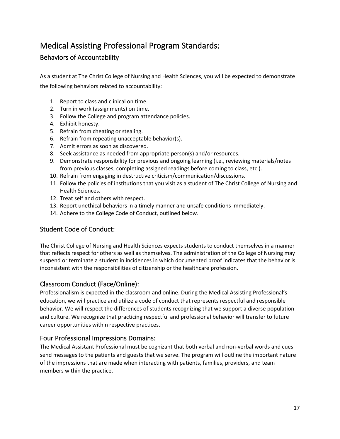# <span id="page-16-0"></span>Medical Assisting Professional Program Standards:

# <span id="page-16-1"></span>Behaviors of Accountability

As a student at The Christ College of Nursing and Health Sciences, you will be expected to demonstrate the following behaviors related to accountability:

- 1. Report to class and clinical on time.
- 2. Turn in work (assignments) on time.
- 3. Follow the College and program attendance policies.
- 4. Exhibit honesty.
- 5. Refrain from cheating or stealing.
- 6. Refrain from repeating unacceptable behavior(s).
- 7. Admit errors as soon as discovered.
- 8. Seek assistance as needed from appropriate person(s) and/or resources.
- 9. Demonstrate responsibility for previous and ongoing learning (i.e., reviewing materials/notes from previous classes, completing assigned readings before coming to class, etc.).
- 10. Refrain from engaging in destructive criticism/communication/discussions.
- 11. Follow the policies of institutions that you visit as a student of The Christ College of Nursing and Health Sciences.
- 12. Treat self and others with respect.
- 13. Report unethical behaviors in a timely manner and unsafe conditions immediately.
- 14. Adhere to the College Code of Conduct, outlined below.

## <span id="page-16-2"></span>Student Code of Conduct:

The Christ College of Nursing and Health Sciences expects students to conduct themselves in a manner that reflects respect for others as well as themselves. The administration of the College of Nursing may suspend or terminate a student in incidences in which documented proof indicates that the behavior is inconsistent with the responsibilities of citizenship or the healthcare profession.

## <span id="page-16-3"></span>Classroom Conduct (Face/Online):

Professionalism is expected in the classroom and online. During the Medical Assisting Professional's education, we will practice and utilize a code of conduct that represents respectful and responsible behavior. We will respect the differences of students recognizing that we support a diverse population and culture. We recognize that practicing respectful and professional behavior will transfer to future career opportunities within respective practices.

## <span id="page-16-4"></span>Four Professional Impressions Domains:

The Medical Assistant Professional must be cognizant that both verbal and non-verbal words and cues send messages to the patients and guests that we serve. The program will outline the important nature of the impressions that are made when interacting with patients, families, providers, and team members within the practice.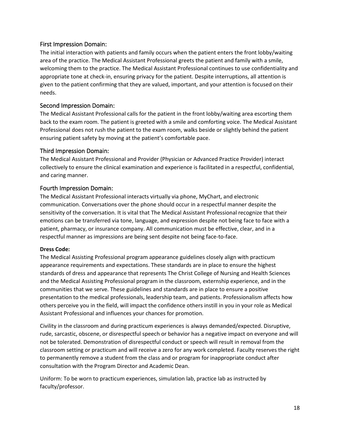#### <span id="page-17-0"></span>First Impression Domain:

The initial interaction with patients and family occurs when the patient enters the front lobby/waiting area of the practice. The Medical Assistant Professional greets the patient and family with a smile, welcoming them to the practice. The Medical Assistant Professional continues to use confidentiality and appropriate tone at check-in, ensuring privacy for the patient. Despite interruptions, all attention is given to the patient confirming that they are valued, important, and your attention is focused on their needs.

#### <span id="page-17-1"></span>Second Impression Domain:

The Medical Assistant Professional calls for the patient in the front lobby/waiting area escorting them back to the exam room. The patient is greeted with a smile and comforting voice. The Medical Assistant Professional does not rush the patient to the exam room, walks beside or slightly behind the patient ensuring patient safety by moving at the patient's comfortable pace.

#### <span id="page-17-2"></span>Third Impression Domain:

The Medical Assistant Professional and Provider (Physician or Advanced Practice Provider) interact collectively to ensure the clinical examination and experience is facilitated in a respectful, confidential, and caring manner.

#### <span id="page-17-3"></span>Fourth Impression Domain:

The Medical Assistant Professional interacts virtually via phone, MyChart, and electronic communication. Conversations over the phone should occur in a respectful manner despite the sensitivity of the conversation. It is vital that The Medical Assistant Professional recognize that their emotions can be transferred via tone, language, and expression despite not being face to face with a patient, pharmacy, or insurance company. All communication must be effective, clear, and in a respectful manner as impressions are being sent despite not being face-to-face.

#### <span id="page-17-4"></span>**Dress Code:**

The Medical Assisting Professional program appearance guidelines closely align with practicum appearance requirements and expectations. These standards are in place to ensure the highest standards of dress and appearance that represents The Christ College of Nursing and Health Sciences and the Medical Assisting Professional program in the classroom, externship experience, and in the communities that we serve. These guidelines and standards are in place to ensure a positive presentation to the medical professionals, leadership team, and patients. Professionalism affects how others perceive you in the field, will impact the confidence others instill in you in your role as Medical Assistant Professional and influences your chances for promotion.

Civility in the classroom and during practicum experiences is always demanded/expected. Disruptive, rude, sarcastic, obscene, or disrespectful speech or behavior has a negative impact on everyone and will not be tolerated. Demonstration of disrespectful conduct or speech will result in removal from the classroom setting or practicum and will receive a zero for any work completed. Faculty reserves the right to permanently remove a student from the class and or program for inappropriate conduct after consultation with the Program Director and Academic Dean.

Uniform: To be worn to practicum experiences, simulation lab, practice lab as instructed by faculty/professor.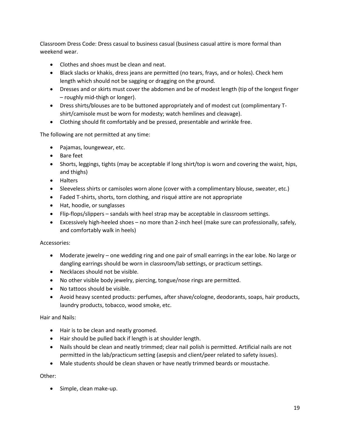Classroom Dress Code: Dress casual to business casual (business casual attire is more formal than weekend wear.

- Clothes and shoes must be clean and neat.
- Black slacks or khakis, dress jeans are permitted (no tears, frays, and or holes). Check hem length which should not be sagging or dragging on the ground.
- Dresses and or skirts must cover the abdomen and be of modest length (tip of the longest finger – roughly mid-thigh or longer).
- Dress shirts/blouses are to be buttoned appropriately and of modest cut (complimentary Tshirt/camisole must be worn for modesty; watch hemlines and cleavage).
- Clothing should fit comfortably and be pressed, presentable and wrinkle free.

The following are not permitted at any time:

- Pajamas, loungewear, etc.
- Bare feet
- Shorts, leggings, tights (may be acceptable if long shirt/top is worn and covering the waist, hips, and thighs)
- Halters
- Sleeveless shirts or camisoles worn alone (cover with a complimentary blouse, sweater, etc.)
- Faded T-shirts, shorts, torn clothing, and risqué attire are not appropriate
- Hat, hoodie, or sunglasses
- Flip-flops/slippers sandals with heel strap may be acceptable in classroom settings.
- Excessively high-heeled shoes no more than 2-inch heel (make sure can professionally, safely, and comfortably walk in heels)

#### Accessories:

- Moderate jewelry one wedding ring and one pair of small earrings in the ear lobe. No large or dangling earrings should be worn in classroom/lab settings, or practicum settings.
- Necklaces should not be visible.
- No other visible body jewelry, piercing, tongue/nose rings are permitted.
- No tattoos should be visible.
- Avoid heavy scented products: perfumes, after shave/cologne, deodorants, soaps, hair products, laundry products, tobacco, wood smoke, etc.

#### Hair and Nails:

- Hair is to be clean and neatly groomed.
- Hair should be pulled back if length is at shoulder length.
- Nails should be clean and neatly trimmed; clear nail polish is permitted. Artificial nails are not permitted in the lab/practicum setting (asepsis and client/peer related to safety issues).
- Male students should be clean shaven or have neatly trimmed beards or moustache.

#### Other:

• Simple, clean make-up.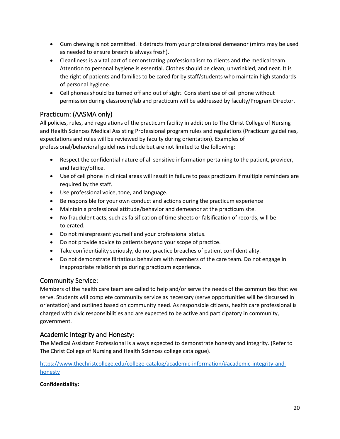- Gum chewing is not permitted. It detracts from your professional demeanor (mints may be used as needed to ensure breath is always fresh).
- Cleanliness is a vital part of demonstrating professionalism to clients and the medical team. Attention to personal hygiene is essential. Clothes should be clean, unwrinkled, and neat. It is the right of patients and families to be cared for by staff/students who maintain high standards of personal hygiene.
- Cell phones should be turned off and out of sight. Consistent use of cell phone without permission during classroom/lab and practicum will be addressed by faculty/Program Director.

# <span id="page-19-0"></span>Practicum: (AASMA only)

All policies, rules, and regulations of the practicum facility in addition to The Christ College of Nursing and Health Sciences Medical Assisting Professional program rules and regulations (Practicum guidelines, expectations and rules will be reviewed by faculty during orientation). Examples of professional/behavioral guidelines include but are not limited to the following:

- Respect the confidential nature of all sensitive information pertaining to the patient, provider, and facility/office.
- Use of cell phone in clinical areas will result in failure to pass practicum if multiple reminders are required by the staff.
- Use professional voice, tone, and language.
- Be responsible for your own conduct and actions during the practicum experience
- Maintain a professional attitude/behavior and demeanor at the practicum site.
- No fraudulent acts, such as falsification of time sheets or falsification of records, will be tolerated.
- Do not misrepresent yourself and your professional status.
- Do not provide advice to patients beyond your scope of practice.
- Take confidentiality seriously, do not practice breaches of patient confidentiality.
- Do not demonstrate flirtatious behaviors with members of the care team. Do not engage in inappropriate relationships during practicum experience.

## <span id="page-19-1"></span>Community Service:

Members of the health care team are called to help and/or serve the needs of the communities that we serve. Students will complete community service as necessary (serve opportunities will be discussed in orientation) and outlined based on community need. As responsible citizens, health care professional is charged with civic responsibilities and are expected to be active and participatory in community, government.

## <span id="page-19-2"></span>Academic Integrity and Honesty:

The Medical Assistant Professional is always expected to demonstrate honesty and integrity. (Refer to The Christ College of Nursing and Health Sciences college catalogue).

[https://www.thechristcollege.edu/college-catalog/academic-information/#academic-integrity-and](https://www.thechristcollege.edu/college-catalog/academic-information/#academic-integrity-and-honesty)[honesty](https://www.thechristcollege.edu/college-catalog/academic-information/#academic-integrity-and-honesty)

## **Confidentiality:**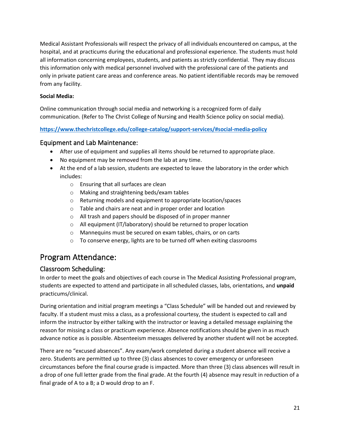Medical Assistant Professionals will respect the privacy of all individuals encountered on campus, at the hospital, and at practicums during the educational and professional experience. The students must hold all information concerning employees, students, and patients as strictly confidential. They may discuss this information only with medical personnel involved with the professional care of the patients and only in private patient care areas and conference areas. No patient identifiable records may be removed from any facility.

#### **Social Media:**

Online communication through social media and networking is a recognized form of daily communication. (Refer to The Christ College of Nursing and Health Science policy on social media).

#### **<https://www.thechristcollege.edu/college-catalog/support-services/#social-media-policy>**

### <span id="page-20-0"></span>Equipment and Lab Maintenance:

- After use of equipment and supplies all items should be returned to appropriate place.
- No equipment may be removed from the lab at any time.
- At the end of a lab session, students are expected to leave the laboratory in the order which includes:
	- o Ensuring that all surfaces are clean
	- o Making and straightening beds/exam tables
	- o Returning models and equipment to appropriate location/spaces
	- o Table and chairs are neat and in proper order and location
	- o All trash and papers should be disposed of in proper manner
	- o All equipment (IT/laboratory) should be returned to proper location
	- o Mannequins must be secured on exam tables, chairs, or on carts
	- o To conserve energy, lights are to be turned off when exiting classrooms

# <span id="page-20-1"></span>Program Attendance:

## <span id="page-20-2"></span>Classroom Scheduling:

In order to meet the goals and objectives of each course in The Medical Assisting Professional program, students are expected to attend and participate in all scheduled classes, labs, orientations, and **unpaid**  practicums/clinical.

During orientation and initial program meetings a "Class Schedule" will be handed out and reviewed by faculty. If a student must miss a class, as a professional courtesy, the student is expected to call and inform the instructor by either talking with the instructor or leaving a detailed message explaining the reason for missing a class or practicum experience. Absence notifications should be given in as much advance notice as is possible. Absenteeism messages delivered by another student will not be accepted.

There are no "excused absences". Any exam/work completed during a student absence will receive a zero. Students are permitted up to three (3) class absences to cover emergency or unforeseen circumstances before the final course grade is impacted. More than three (3) class absences will result in a drop of one full letter grade from the final grade. At the fourth (4) absence may result in reduction of a final grade of A to a B; a D would drop to an F.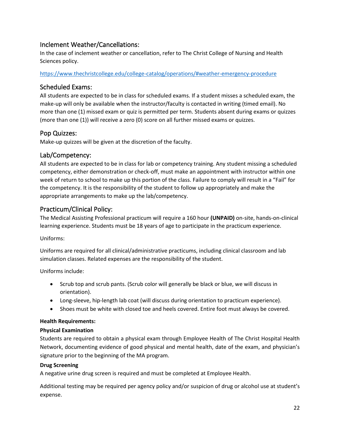## <span id="page-21-0"></span>Inclement Weather/Cancellations:

In the case of inclement weather or cancellation, refer to The Christ College of Nursing and Health Sciences policy.

<https://www.thechristcollege.edu/college-catalog/operations/#weather-emergency-procedure>

## <span id="page-21-1"></span>Scheduled Exams:

All students are expected to be in class for scheduled exams. If a student misses a scheduled exam, the make-up will only be available when the instructor/faculty is contacted in writing (timed email). No more than one (1) missed exam or quiz is permitted per term. Students absent during exams or quizzes (more than one (1)) will receive a zero (0) score on all further missed exams or quizzes.

### <span id="page-21-2"></span>Pop Quizzes:

Make-up quizzes will be given at the discretion of the faculty.

### <span id="page-21-3"></span>Lab/Competency:

All students are expected to be in class for lab or competency training. Any student missing a scheduled competency, either demonstration or check-off, must make an appointment with instructor within one week of return to school to make up this portion of the class. Failure to comply will result in a "Fail" for the competency. It is the responsibility of the student to follow up appropriately and make the appropriate arrangements to make up the lab/competency.

### <span id="page-21-4"></span>Practicum/Clinical Policy:

The Medical Assisting Professional practicum will require a 160 hour **(UNPAID)** on-site, hands-on-clinical learning experience. Students must be 18 years of age to participate in the practicum experience.

Uniforms:

Uniforms are required for all clinical/administrative practicums, including clinical classroom and lab simulation classes. Related expenses are the responsibility of the student.

Uniforms include:

- Scrub top and scrub pants. (Scrub color will generally be black or blue, we will discuss in orientation).
- Long-sleeve, hip-length lab coat (will discuss during orientation to practicum experience).
- Shoes must be white with closed toe and heels covered. Entire foot must always be covered.

#### <span id="page-21-5"></span>**Health Requirements:**

#### <span id="page-21-6"></span>**Physical Examination**

Students are required to obtain a physical exam through Employee Health of The Christ Hospital Health Network, documenting evidence of good physical and mental health, date of the exam, and physician's signature prior to the beginning of the MA program.

#### <span id="page-21-7"></span>**Drug Screening**

A negative urine drug screen is required and must be completed at Employee Health.

Additional testing may be required per agency policy and/or suspicion of drug or alcohol use at student's expense.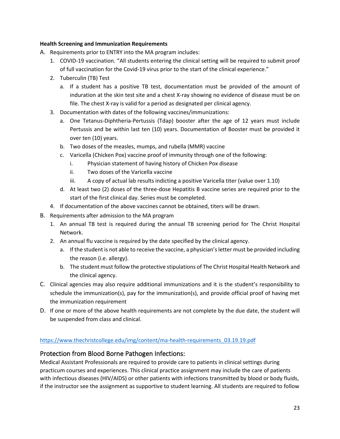#### <span id="page-22-0"></span>**Health Screening and Immunization Requirements**

- A. Requirements prior to ENTRY into the MA program includes:
	- 1. COVID-19 vaccination. "All students entering the clinical setting will be required to submit proof of full vaccination for the Covid-19 virus prior to the start of the clinical experience."
	- 2. Tuberculin (TB) Test
		- a. If a student has a positive TB test, documentation must be provided of the amount of induration at the skin test site and a chest X-ray showing no evidence of disease must be on file. The chest X-ray is valid for a period as designated per clinical agency.
	- 3. Documentation with dates of the following vaccines/immunizations:
		- a. One Tetanus-Diphtheria-Pertussis (Tdap) booster after the age of 12 years must include Pertussis and be within last ten (10) years. Documentation of Booster must be provided it over ten (10) years.
		- b. Two doses of the measles, mumps, and rubella (MMR) vaccine
		- c. Varicella (Chicken Pox) vaccine proof of immunity through one of the following:
			- i. Physician statement of having history of Chicken Pox disease
			- ii. Two doses of the Varicella vaccine
			- iii. A copy of actual lab results indicting a positive Varicella titer (value over 1.10)
		- d. At least two (2) doses of the three-dose Hepatitis B vaccine series are required prior to the start of the first clinical day. Series must be completed.
	- 4. If documentation of the above vaccines cannot be obtained, titers will be drawn.
- B. Requirements after admission to the MA program
	- 1. An annual TB test is required during the annual TB screening period for The Christ Hospital Network.
	- 2. An annual flu vaccine is required by the date specified by the clinical agency.
		- a. If the student is not able to receive the vaccine, a physician's letter must be provided including the reason (i.e. allergy).
		- b. The student must follow the protective stipulations of The Christ Hospital Health Network and the clinical agency.
- C. Clinical agencies may also require additional immunizations and it is the student's responsibility to schedule the immunization(s), pay for the immunization(s), and provide official proof of having met the immunization requirement
- D. If one or more of the above health requirements are not complete by the due date, the student will be suspended from class and clinical.

### [https://www.thechristcollege.edu/img/content/ma-health-requirements\\_03.19.19.pdf](https://www.thechristcollege.edu/img/content/ma-health-requirements_03.19.19.pdf)

### <span id="page-22-1"></span>Protection from Blood Borne Pathogen Infections:

Medical Assistant Professionals are required to provide care to patients in clinical settings during practicum courses and experiences. This clinical practice assignment may include the care of patients with infectious diseases (HIV/AIDS) or other patients with infections transmitted by blood or body fluids, if the instructor see the assignment as supportive to student learning. All students are required to follow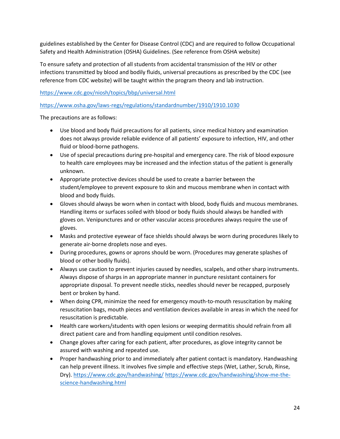guidelines established by the Center for Disease Control (CDC) and are required to follow Occupational Safety and Health Administration (OSHA) Guidelines. (See reference from OSHA website)

To ensure safety and protection of all students from accidental transmission of the HIV or other infections transmitted by blood and bodily fluids, universal precautions as prescribed by the CDC (see reference from CDC website) will be taught within the program theory and lab instruction.

<https://www.cdc.gov/niosh/topics/bbp/universal.html>

<https://www.osha.gov/laws-regs/regulations/standardnumber/1910/1910.1030>

The precautions are as follows:

- Use blood and body fluid precautions for all patients, since medical history and examination does not always provide reliable evidence of all patients' exposure to infection, HIV, and other fluid or blood-borne pathogens.
- Use of special precautions during pre-hospital and emergency care. The risk of blood exposure to health care employees may be increased and the infection status of the patient is generally unknown.
- Appropriate protective devices should be used to create a barrier between the student/employee to prevent exposure to skin and mucous membrane when in contact with blood and body fluids.
- Gloves should always be worn when in contact with blood, body fluids and mucous membranes. Handling items or surfaces soiled with blood or body fluids should always be handled with gloves on. Venipunctures and or other vascular access procedures always require the use of gloves.
- Masks and protective eyewear of face shields should always be worn during procedures likely to generate air-borne droplets nose and eyes.
- During procedures, gowns or aprons should be worn. (Procedures may generate splashes of blood or other bodily fluids).
- Always use caution to prevent injuries caused by needles, scalpels, and other sharp instruments. Always dispose of sharps in an appropriate manner in puncture resistant containers for appropriate disposal. To prevent needle sticks, needles should never be recapped, purposely bent or broken by hand.
- When doing CPR, minimize the need for emergency mouth-to-mouth resuscitation by making resuscitation bags, mouth pieces and ventilation devices available in areas in which the need for resuscitation is predictable.
- Health care workers/students with open lesions or weeping dermatitis should refrain from all direct patient care and from handling equipment until condition resolves.
- Change gloves after caring for each patient, after procedures, as glove integrity cannot be assured with washing and repeated use.
- Proper handwashing prior to and immediately after patient contact is mandatory. Handwashing can help prevent illness. It involves five simple and effective steps (Wet, Lather, Scrub, Rinse, Dry).<https://www.cdc.gov/handwashing/> [https://www.cdc.gov/handwashing/show-me-the](https://www.cdc.gov/handwashing/show-me-the-science-handwashing.html)[science-handwashing.html](https://www.cdc.gov/handwashing/show-me-the-science-handwashing.html)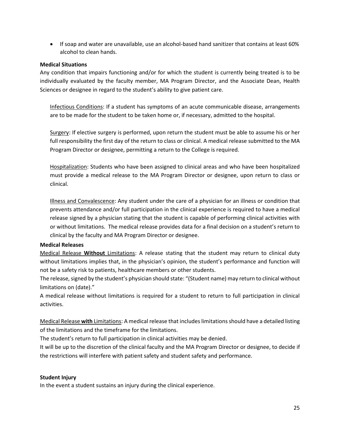• If soap and water are unavailable, use an alcohol-based hand sanitizer that contains at least 60% alcohol to clean hands.

#### <span id="page-24-0"></span>**Medical Situations**

Any condition that impairs functioning and/or for which the student is currently being treated is to be individually evaluated by the faculty member, MA Program Director, and the Associate Dean, Health Sciences or designee in regard to the student's ability to give patient care.

Infectious Conditions: If a student has symptoms of an acute communicable disease, arrangements are to be made for the student to be taken home or, if necessary, admitted to the hospital.

Surgery: If elective surgery is performed, upon return the student must be able to assume his or her full responsibility the first day of the return to class or clinical. A medical release submitted to the MA Program Director or designee, permitting a return to the College is required.

Hospitalization: Students who have been assigned to clinical areas and who have been hospitalized must provide a medical release to the MA Program Director or designee, upon return to class or clinical.

Illness and Convalescence: Any student under the care of a physician for an illness or condition that prevents attendance and/or full participation in the clinical experience is required to have a medical release signed by a physician stating that the student is capable of performing clinical activities with or without limitations. The medical release provides data for a final decision on a student's return to clinical by the faculty and MA Program Director or designee.

#### <span id="page-24-1"></span>**Medical Releases**

Medical Release **Without** Limitations: A release stating that the student may return to clinical duty without limitations implies that, in the physician's opinion, the student's performance and function will not be a safety risk to patients, healthcare members or other students.

The release, signed by the student's physician should state: "(Student name) may return to clinical without limitations on (date)."

A medical release without limitations is required for a student to return to full participation in clinical activities.

Medical Release **with** Limitations: A medical release that includes limitations should have a detailed listing of the limitations and the timeframe for the limitations.

The student's return to full participation in clinical activities may be denied.

It will be up to the discretion of the clinical faculty and the MA Program Director or designee, to decide if the restrictions will interfere with patient safety and student safety and performance.

#### <span id="page-24-2"></span>**Student Injury**

In the event a student sustains an injury during the clinical experience.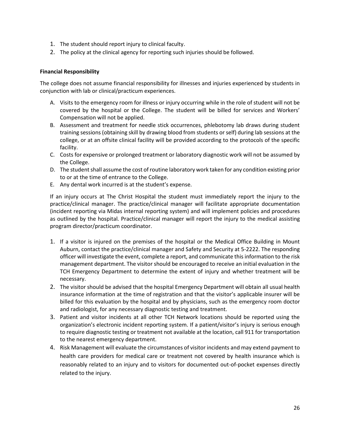- 1. The student should report injury to clinical faculty.
- 2. The policy at the clinical agency for reporting such injuries should be followed.

#### **Financial Responsibility**

The college does not assume financial responsibility for illnesses and injuries experienced by students in conjunction with lab or clinical/practicum experiences.

- A. Visits to the emergency room for illness or injury occurring while in the role of student will not be covered by the hospital or the College. The student will be billed for services and Workers' Compensation will not be applied.
- B. Assessment and treatment for needle stick occurrences, phlebotomy lab draws during student training sessions (obtaining skill by drawing blood from students or self) during lab sessions at the college, or at an offsite clinical facility will be provided according to the protocols of the specific facility.
- C. Costs for expensive or prolonged treatment or laboratory diagnostic work will not be assumed by the College.
- D. The student shall assume the cost of routine laboratory work taken for any condition existing prior to or at the time of entrance to the College.
- E. Any dental work incurred is at the student's expense.

If an injury occurs at The Christ Hospital the student must immediately report the injury to the practice/clinical manager. The practice/clinical manager will facilitate appropriate documentation (incident reporting via Midas internal reporting system) and will implement policies and procedures as outlined by the hospital. Practice/clinical manager will report the injury to the medical assisting program director/practicum coordinator.

- 1. If a visitor is injured on the premises of the hospital or the Medical Office Building in Mount Auburn, contact the practice/clinical manager and Safety and Security at 5-2222. The responding officer will investigate the event, complete a report, and communicate this information to the risk management department. The visitor should be encouraged to receive an initial evaluation in the TCH Emergency Department to determine the extent of injury and whether treatment will be necessary.
- 2. The visitor should be advised that the hospital Emergency Department will obtain all usual health insurance information at the time of registration and that the visitor's applicable insurer will be billed for this evaluation by the hospital and by physicians, such as the emergency room doctor and radiologist, for any necessary diagnostic testing and treatment.
- 3. Patient and visitor incidents at all other TCH Network locations should be reported using the organization's electronic incident reporting system. If a patient/visitor's injury is serious enough to require diagnostic testing or treatment not available at the location, call 911 for transportation to the nearest emergency department.
- 4. Risk Management will evaluate the circumstances of visitor incidents and may extend payment to health care providers for medical care or treatment not covered by health insurance which is reasonably related to an injury and to visitors for documented out-of-pocket expenses directly related to the injury.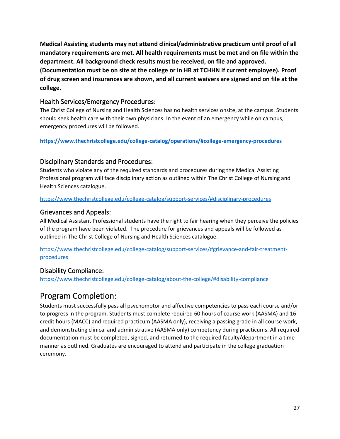**Medical Assisting students may not attend clinical/administrative practicum until proof of all mandatory requirements are met. All health requirements must be met and on file within the department. All background check results must be received, on file and approved.** 

**(Documentation must be on site at the college or in HR at TCHHN if current employee). Proof of drug screen and insurances are shown, and all current waivers are signed and on file at the college.**

### <span id="page-26-0"></span>Health Services/Emergency Procedures:

The Christ College of Nursing and Health Sciences has no health services onsite, at the campus. Students should seek health care with their own physicians. In the event of an emergency while on campus, emergency procedures will be followed.

#### <span id="page-26-1"></span>**<https://www.thechristcollege.edu/college-catalog/operations/#college-emergency-procedures>**

## <span id="page-26-2"></span>Disciplinary Standards and Procedures:

Students who violate any of the required standards and procedures during the Medical Assisting Professional program will face disciplinary action as outlined within The Christ College of Nursing and Health Sciences catalogue.

<https://www.thechristcollege.edu/college-catalog/support-services/#disciplinary-procedures>

### <span id="page-26-3"></span>Grievances and Appeals:

All Medical Assistant Professional students have the right to fair hearing when they perceive the policies of the program have been violated. The procedure for grievances and appeals will be followed as outlined in The Christ College of Nursing and Health Sciences catalogue.

[https://www.thechristcollege.edu/college-catalog/support-services/#grievance-and-fair-treatment](https://www.thechristcollege.edu/college-catalog/support-services/#grievance-and-fair-treatment-procedures)[procedures](https://www.thechristcollege.edu/college-catalog/support-services/#grievance-and-fair-treatment-procedures)

## <span id="page-26-4"></span>Disability Compliance:

<https://www.thechristcollege.edu/college-catalog/about-the-college/#disability-compliance>

# <span id="page-26-5"></span>Program Completion:

Students must successfully pass all psychomotor and affective competencies to pass each course and/or to progress in the program. Students must complete required 60 hours of course work (AASMA) and 16 credit hours (MACC) and required practicum (AASMA only), receiving a passing grade in all course work, and demonstrating clinical and administrative (AASMA only) competency during practicums. All required documentation must be completed, signed, and returned to the required faculty/department in a time manner as outlined. Graduates are encouraged to attend and participate in the college graduation ceremony.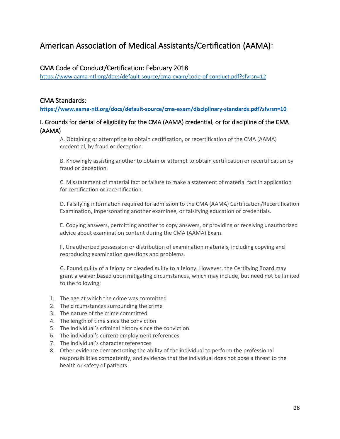# <span id="page-27-0"></span>American Association of Medical Assistants/Certification (AAMA):

## <span id="page-27-1"></span>CMA Code of Conduct/Certification: February 2018

<https://www.aama-ntl.org/docs/default-source/cma-exam/code-of-conduct.pdf?sfvrsn=12>

## <span id="page-27-2"></span>CMA Standards:

**<https://www.aama-ntl.org/docs/default-source/cma-exam/disciplinary-standards.pdf?sfvrsn=10>**

## <span id="page-27-3"></span>I. Grounds for denial of eligibility for the CMA (AAMA) credential, or for discipline of the CMA (AAMA)

A. Obtaining or attempting to obtain certification, or recertification of the CMA (AAMA) credential, by fraud or deception.

B. Knowingly assisting another to obtain or attempt to obtain certification or recertification by fraud or deception.

C. Misstatement of material fact or failure to make a statement of material fact in application for certification or recertification.

D. Falsifying information required for admission to the CMA (AAMA) Certification/Recertification Examination, impersonating another examinee, or falsifying education or credentials.

E. Copying answers, permitting another to copy answers, or providing or receiving unauthorized advice about examination content during the CMA (AAMA) Exam.

F. Unauthorized possession or distribution of examination materials, including copying and reproducing examination questions and problems.

G. Found guilty of a felony or pleaded guilty to a felony. However, the Certifying Board may grant a waiver based upon mitigating circumstances, which may include, but need not be limited to the following:

- 1. The age at which the crime was committed
- 2. The circumstances surrounding the crime
- 3. The nature of the crime committed
- 4. The length of time since the conviction
- 5. The individual's criminal history since the conviction
- 6. The individual's current employment references
- 7. The individual's character references
- 8. Other evidence demonstrating the ability of the individual to perform the professional responsibilities competently, and evidence that the individual does not pose a threat to the health or safety of patients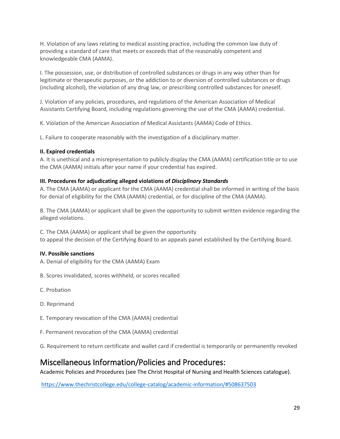H. Violation of any laws relating to medical assisting practice, including the common law duty of providing a standard of care that meets or exceeds that of the reasonably competent and knowledgeable CMA (AAMA).

I. The possession, use, or distribution of controlled substances or drugs in any way other than for legitimate or therapeutic purposes, or the addiction to or diversion of controlled substances or drugs (including alcohol), the violation of any drug law, or prescribing controlled substances for oneself.

J. Violation of any policies, procedures, and regulations of the American Association of Medical Assistants Certifying Board, including regulations governing the use of the CMA (AAMA) credential.

K. Violation of the American Association of Medical Assistants (AAMA) Code of Ethics.

L. Failure to cooperate reasonably with the investigation of a disciplinary matter.

#### <span id="page-28-0"></span>**II. Expired credentials**

A. It is unethical and a misrepresentation to publicly display the CMA (AAMA) certification title or to use the CMA (AAMA) initials after your name if your credential has expired.

#### <span id="page-28-1"></span>**III. Procedures for adjudicating alleged violations of** *Disciplinary Standards*

A. The CMA (AAMA) or applicant for the CMA (AAMA) credential shall be informed in writing of the basis for denial of eligibility for the CMA (AAMA) credential, or for discipline of the CMA (AAMA).

B. The CMA (AAMA) or applicant shall be given the opportunity to submit written evidence regarding the alleged violations.

C. The CMA (AAMA) or applicant shall be given the opportunity to appeal the decision of the Certifying Board to an appeals panel established by the Certifying Board.

#### <span id="page-28-2"></span>**IV. Possible sanctions**

- A. Denial of eligibility for the CMA (AAMA) Exam
- B. Scores invalidated, scores withheld, or scores recalled
- C. Probation
- D. Reprimand
- E. Temporary revocation of the CMA (AAMA) credential
- F. Permanent revocation of the CMA (AAMA) credential
- G. Requirement to return certificate and wallet card if credential is temporarily or permanently revoked

# <span id="page-28-3"></span>Miscellaneous Information/Policies and Procedures:

Academic Policies and Procedures (see The Christ Hospital of Nursing and Health Sciences catalogue).

<https://www.thechristcollege.edu/college-catalog/academic-information/#508637503>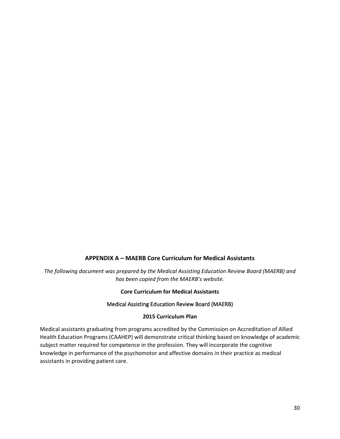#### **APPENDIX A – MAERB Core Curriculum for Medical Assistants**

<span id="page-29-0"></span>*The following document was prepared by the Medical Assisting Education Review Board (MAERB) and has been copied from the MAERB's website.*

#### **Core Curriculum for Medical Assistants**

#### Medical Assisting Education Review Board (MAERB)

#### **2015 Curriculum Plan**

Medical assistants graduating from programs accredited by the Commission on Accreditation of Allied Health Education Programs (CAAHEP) will demonstrate critical thinking based on knowledge of academic subject matter required for competence in the profession. They will incorporate the cognitive knowledge in performance of the psychomotor and affective domains in their practice as medical assistants in providing patient care.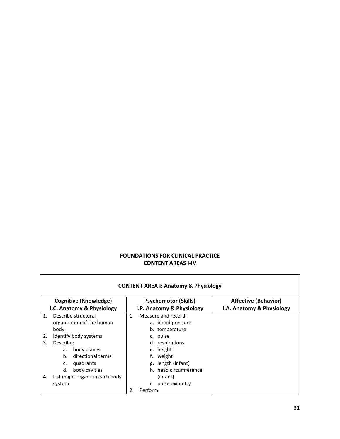#### **FOUNDATIONS FOR CLINICAL PRACTICE CONTENT AREAS I-IV**

|    |                                | <b>CONTENT AREA I: Anatomy &amp; Physiology</b> |                             |
|----|--------------------------------|-------------------------------------------------|-----------------------------|
|    | <b>Cognitive (Knowledge)</b>   | <b>Psychomotor (Skills)</b>                     | <b>Affective (Behavior)</b> |
|    | I.C. Anatomy & Physiology      | I.P. Anatomy & Physiology                       | I.A. Anatomy & Physiology   |
| 1. | Describe structural            | Measure and record:<br>1.                       |                             |
|    | organization of the human      | a. blood pressure                               |                             |
|    | body                           | b. temperature                                  |                             |
| 2. | Identify body systems          | c. pulse                                        |                             |
| 3. | Describe:                      | d. respirations                                 |                             |
|    | body planes<br>а.              | e. height                                       |                             |
|    | directional terms<br>b.        | f. weight                                       |                             |
|    | quadrants<br>c.                | g. length (infant)                              |                             |
|    | body cavities<br>d.            | h. head circumference                           |                             |
| 4. | List major organs in each body | (infant)                                        |                             |
|    | system                         | pulse oximetry                                  |                             |
|    |                                | Perform:<br>2.                                  |                             |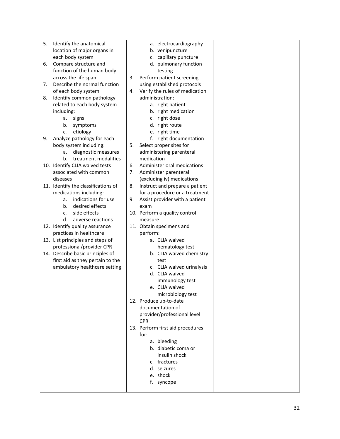| 5. | Identify the anatomical             |    | a. electrocardiography           |
|----|-------------------------------------|----|----------------------------------|
|    | location of major organs in         |    | b. venipuncture                  |
|    | each body system                    |    | c. capillary puncture            |
| 6. | Compare structure and               |    | d. pulmonary function            |
|    | function of the human body          |    | testing                          |
|    | across the life span                | 3. | Perform patient screening        |
| 7. | Describe the normal function        |    | using established protocols      |
|    | of each body system                 | 4. | Verify the rules of medication   |
| 8. | Identify common pathology           |    | administration:                  |
|    | related to each body system         |    | a. right patient                 |
|    | including:                          |    | b. right medication              |
|    | signs<br>a.                         |    | c. right dose                    |
|    | b.<br>symptoms                      |    | d. right route                   |
|    | etiology<br>c.                      |    | e. right time                    |
| 9. | Analyze pathology for each          |    | f. right documentation           |
|    | body system including:              | 5. | Select proper sites for          |
|    | diagnostic measures<br>a.           |    | administering parenteral         |
|    | treatment modalities<br>b.          |    | medication                       |
|    | 10. Identify CLIA waived tests      | 6. | Administer oral medications      |
|    | associated with common              | 7. | Administer parenteral            |
|    | diseases                            |    | (excluding iv) medications       |
|    | 11. Identify the classifications of | 8. | Instruct and prepare a patient   |
|    | medications including:              |    | for a procedure or a treatment   |
|    | indications for use<br>a.           | 9. | Assist provider with a patient   |
|    | desired effects<br>b.               |    | exam                             |
|    | side effects<br>c.                  |    | 10. Perform a quality control    |
|    | d.<br>adverse reactions             |    | measure                          |
|    | 12. Identify quality assurance      |    | 11. Obtain specimens and         |
|    | practices in healthcare             |    | perform:                         |
|    | 13. List principles and steps of    |    | a. CLIA waived                   |
|    | professional/provider CPR           |    | hematology test                  |
|    | 14. Describe basic principles of    |    | b. CLIA waived chemistry         |
|    | first aid as they pertain to the    |    | test                             |
|    | ambulatory healthcare setting       |    | c. CLIA waived urinalysis        |
|    |                                     |    | d. CLIA waived                   |
|    |                                     |    | immunology test                  |
|    |                                     |    | e. CLIA waived                   |
|    |                                     |    | microbiology test                |
|    |                                     |    | 12. Produce up-to-date           |
|    |                                     |    | documentation of                 |
|    |                                     |    | provider/professional level      |
|    |                                     |    | <b>CPR</b>                       |
|    |                                     |    | 13. Perform first aid procedures |
|    |                                     |    | for:                             |
|    |                                     |    | a. bleeding                      |
|    |                                     |    | b. diabetic coma or              |
|    |                                     |    | insulin shock                    |
|    |                                     |    | c. fractures                     |
|    |                                     |    |                                  |
|    |                                     |    | d. seizures                      |

- e. shock
- f. syncope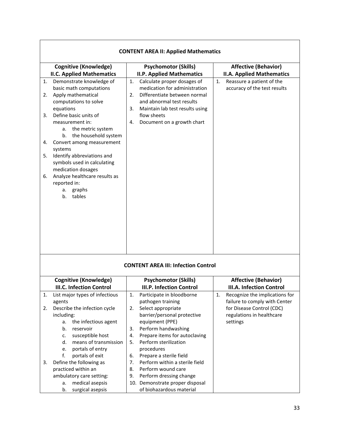|                                  | <b>CONTENT AREA II: Applied Mathematics</b>                                                                                                                                                                                                                                                                                                                                                                                                                    |                                                                                                                                                                                                                                                                                                                              |                                                                                                                                             |  |  |  |  |
|----------------------------------|----------------------------------------------------------------------------------------------------------------------------------------------------------------------------------------------------------------------------------------------------------------------------------------------------------------------------------------------------------------------------------------------------------------------------------------------------------------|------------------------------------------------------------------------------------------------------------------------------------------------------------------------------------------------------------------------------------------------------------------------------------------------------------------------------|---------------------------------------------------------------------------------------------------------------------------------------------|--|--|--|--|
|                                  | <b>Cognitive (Knowledge)</b>                                                                                                                                                                                                                                                                                                                                                                                                                                   | <b>Psychomotor (Skills)</b>                                                                                                                                                                                                                                                                                                  | <b>Affective (Behavior)</b>                                                                                                                 |  |  |  |  |
| 1.<br>2.<br>3.<br>4.<br>5.<br>6. | <b>II.C. Applied Mathematics</b><br>Demonstrate knowledge of<br>basic math computations<br>Apply mathematical<br>computations to solve<br>equations<br>Define basic units of<br>measurement in:<br>a. the metric system<br>the household system<br>b.<br>Convert among measurement<br>systems<br>Identify abbreviations and<br>symbols used in calculating<br>medication dosages<br>Analyze healthcare results as<br>reported in:<br>graphs<br>а.<br>b. tables | <b>II.P. Applied Mathematics</b><br>Calculate proper dosages of<br>1.<br>medication for administration<br>Differentiate between normal<br>2.<br>and abnormal test results<br>3.<br>Maintain lab test results using<br>flow sheets<br>Document on a growth chart<br>4.                                                        | <b>II.A. Applied Mathematics</b><br>Reassure a patient of the<br>1.<br>accuracy of the test results                                         |  |  |  |  |
|                                  |                                                                                                                                                                                                                                                                                                                                                                                                                                                                | <b>CONTENT AREA III: Infection Control</b>                                                                                                                                                                                                                                                                                   |                                                                                                                                             |  |  |  |  |
|                                  | <b>Cognitive (Knowledge)</b>                                                                                                                                                                                                                                                                                                                                                                                                                                   | <b>Psychomotor (Skills)</b>                                                                                                                                                                                                                                                                                                  | <b>Affective (Behavior)</b>                                                                                                                 |  |  |  |  |
|                                  | <b>III.C. Infection Control</b>                                                                                                                                                                                                                                                                                                                                                                                                                                | <b>III.P. Infection Control</b>                                                                                                                                                                                                                                                                                              | <b>III.A. Infection Control</b>                                                                                                             |  |  |  |  |
| 1.<br>2.<br>3.                   | List major types of infectious<br>agents<br>Describe the infection cycle<br>including:<br>the infectious agent<br>a.<br>b.<br>reservoir<br>susceptible host<br>c.<br>means of transmission<br>d.<br>portals of entry<br>e.<br>f.<br>portals of exit<br>Define the following as                                                                                                                                                                                 | 1.<br>Participate in bloodborne<br>pathogen training<br>2.<br>Select appropriate<br>barrier/personal protective<br>equipment (PPE)<br>Perform handwashing<br>3.<br>Prepare items for autoclaving<br>4.<br>Perform sterilization<br>5.<br>procedures<br>Prepare a sterile field<br>6.<br>Perform within a sterile field<br>7. | Recognize the implications for<br>1.<br>failure to comply with Center<br>for Disease Control (CDC)<br>regulations in healthcare<br>settings |  |  |  |  |
|                                  | practiced within an<br>ambulatory care setting:<br>medical asepsis<br>а.<br>surgical asepsis<br>b.                                                                                                                                                                                                                                                                                                                                                             | Perform wound care<br>8.<br>Perform dressing change<br>9.<br>10. Demonstrate proper disposal<br>of biohazardous material                                                                                                                                                                                                     |                                                                                                                                             |  |  |  |  |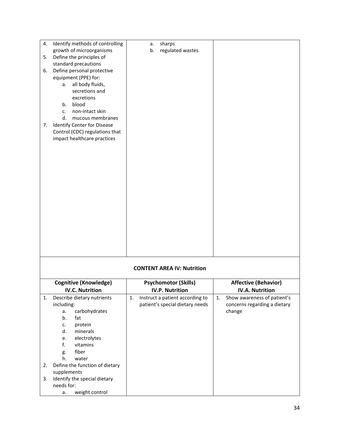| 4. | Identify methods of controlling    | sharps<br>a.                          |                                   |
|----|------------------------------------|---------------------------------------|-----------------------------------|
|    | growth of microorganisms           | regulated wastes<br>b.                |                                   |
| 5. | Define the principles of           |                                       |                                   |
|    | standard precautions               |                                       |                                   |
|    | Define personal protective         |                                       |                                   |
| 6. |                                    |                                       |                                   |
|    | equipment (PPE) for:               |                                       |                                   |
|    | a. all body fluids,                |                                       |                                   |
|    | secretions and                     |                                       |                                   |
|    | excretions                         |                                       |                                   |
|    | blood<br>b.                        |                                       |                                   |
|    | non-intact skin<br>c.              |                                       |                                   |
|    | d.<br>mucous membranes             |                                       |                                   |
| 7. | Identify Center for Disease        |                                       |                                   |
|    | Control (CDC) regulations that     |                                       |                                   |
|    | impact healthcare practices        |                                       |                                   |
|    |                                    |                                       |                                   |
|    |                                    |                                       |                                   |
|    |                                    |                                       |                                   |
|    |                                    |                                       |                                   |
|    |                                    |                                       |                                   |
|    |                                    |                                       |                                   |
|    |                                    |                                       |                                   |
|    |                                    |                                       |                                   |
|    |                                    |                                       |                                   |
|    |                                    |                                       |                                   |
|    |                                    |                                       |                                   |
|    |                                    |                                       |                                   |
|    |                                    |                                       |                                   |
|    |                                    |                                       |                                   |
|    |                                    |                                       |                                   |
|    |                                    |                                       |                                   |
|    |                                    |                                       |                                   |
|    |                                    |                                       |                                   |
|    |                                    |                                       |                                   |
|    |                                    | <b>CONTENT AREA IV: Nutrition</b>     |                                   |
|    |                                    |                                       |                                   |
|    | <b>Cognitive (Knowledge)</b>       | <b>Psychomotor (Skills)</b>           | <b>Affective (Behavior)</b>       |
|    | <b>IV.C. Nutrition</b>             | <b>IV.P. Nutrition</b>                | <b>IV.A. Nutrition</b>            |
| 1. | Describe dietary nutrients         | 1.<br>Instruct a patient according to | Show awareness of patient's<br>1. |
|    | including:                         | patient's special dietary needs       | concerns regarding a dietary      |
|    | carbohydrates<br>a.                |                                       | change                            |
|    | b.<br>fat                          |                                       |                                   |
|    | protein<br>c.                      |                                       |                                   |
|    | minerals<br>d.                     |                                       |                                   |
|    | electrolytes<br>e.                 |                                       |                                   |
|    | f.<br>vitamins                     |                                       |                                   |
|    | fiber<br>g.                        |                                       |                                   |
|    | water<br>h.                        |                                       |                                   |
| 2. | Define the function of dietary     |                                       |                                   |
|    | supplements                        |                                       |                                   |
| 3. | Identify the special dietary       |                                       |                                   |
|    |                                    |                                       |                                   |
|    |                                    |                                       |                                   |
|    | needs for:<br>weight control<br>a. |                                       |                                   |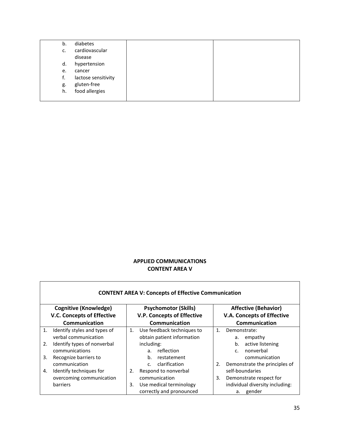| b. | diabetes            |  |
|----|---------------------|--|
| c. | cardiovascular      |  |
|    | disease             |  |
| d. | hypertension        |  |
| e. | cancer              |  |
| t. | lactose sensitivity |  |
| g. | gluten-free         |  |
| h. | food allergies      |  |
|    |                     |  |

#### **APPLIED COMMUNICATIONS CONTENT AREA V**

|                                   | <b>CONTENT AREA V: Concepts of Effective Communication</b> |    |                                   |                                   |                                 |  |  |  |
|-----------------------------------|------------------------------------------------------------|----|-----------------------------------|-----------------------------------|---------------------------------|--|--|--|
|                                   | <b>Cognitive (Knowledge)</b>                               |    | <b>Psychomotor (Skills)</b>       |                                   | <b>Affective (Behavior)</b>     |  |  |  |
| <b>V.C. Concepts of Effective</b> |                                                            |    | <b>V.P. Concepts of Effective</b> | <b>V.A. Concepts of Effective</b> |                                 |  |  |  |
|                                   | Communication                                              |    | Communication                     |                                   | Communication                   |  |  |  |
| 1.                                | Identify styles and types of                               | 1. | Use feedback techniques to        | $\mathbf{1}$ .                    | Demonstrate:                    |  |  |  |
|                                   | verbal communication                                       |    | obtain patient information        |                                   | empathy<br>a.                   |  |  |  |
| 2.                                | Identify types of nonverbal                                |    | including:                        |                                   | active listening<br>b.          |  |  |  |
|                                   | communications                                             |    | reflection<br>a <sub>z</sub>      |                                   | nonverbal<br>$C_{\cdot}$        |  |  |  |
| 3.                                | Recognize barriers to                                      |    | b.<br>restatement                 |                                   | communication                   |  |  |  |
|                                   | communication                                              |    | clarification<br>$C_{\cdot}$      | 2.                                | Demonstrate the principles of   |  |  |  |
| 4.                                | Identify techniques for                                    | 2. | Respond to nonverbal              |                                   | self-boundaries                 |  |  |  |
|                                   | overcoming communication                                   |    | communication                     | 3.                                | Demonstrate respect for         |  |  |  |
|                                   | barriers                                                   | 3. | Use medical terminology           |                                   | individual diversity including: |  |  |  |
|                                   |                                                            |    | correctly and pronounced          |                                   | a. gender                       |  |  |  |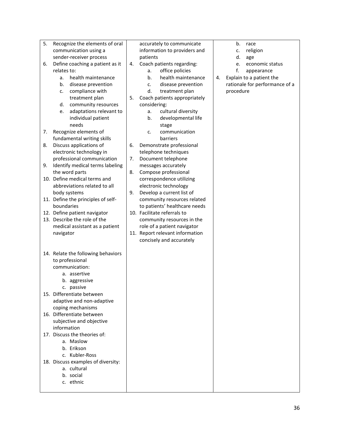| 5. | Recognize the elements of oral     |    | accurately to communicate                                    |    | b.<br>race                     |
|----|------------------------------------|----|--------------------------------------------------------------|----|--------------------------------|
|    | communication using a              |    | information to providers and                                 |    | religion<br>c.                 |
|    | sender-receiver process            |    | patients                                                     |    | d.<br>age                      |
| 6. | Define coaching a patient as it    | 4. | Coach patients regarding:                                    |    | economic status<br>e.          |
|    | relates to:                        |    | office policies<br>a.                                        |    | f.<br>appearance               |
|    | health maintenance<br>a.           |    | b.<br>health maintenance                                     | 4. | Explain to a patient the       |
|    | disease prevention<br>b.           |    | disease prevention<br>c.                                     |    | rationale for performance of a |
|    | compliance with<br>c.              |    | d.<br>treatment plan                                         |    | procedure                      |
|    | treatment plan                     | 5. | Coach patients appropriately                                 |    |                                |
|    | community resources<br>d.          |    | considering:                                                 |    |                                |
|    | adaptations relevant to<br>e.      |    | cultural diversity<br>a.                                     |    |                                |
|    | individual patient                 |    | developmental life<br>b.                                     |    |                                |
|    | needs                              |    |                                                              |    |                                |
| 7. | Recognize elements of              |    | stage<br>communication<br>c.                                 |    |                                |
|    | fundamental writing skills         |    | barriers                                                     |    |                                |
| 8. | Discuss applications of            | 6. | Demonstrate professional                                     |    |                                |
|    | electronic technology in           |    | telephone techniques                                         |    |                                |
|    | professional communication         |    |                                                              |    |                                |
|    | Identify medical terms labeling    | 7. | Document telephone<br>messages accurately                    |    |                                |
| 9. | the word parts                     |    |                                                              |    |                                |
|    | 10. Define medical terms and       | 8. | Compose professional<br>correspondence utilizing             |    |                                |
|    | abbreviations related to all       |    | electronic technology                                        |    |                                |
|    |                                    | 9. | Develop a current list of                                    |    |                                |
|    | body systems                       |    |                                                              |    |                                |
|    | 11. Define the principles of self- |    | community resources related                                  |    |                                |
|    | boundaries                         |    | to patients' healthcare needs<br>10. Facilitate referrals to |    |                                |
|    | 12. Define patient navigator       |    |                                                              |    |                                |
|    | 13. Describe the role of the       |    | community resources in the                                   |    |                                |
|    | medical assistant as a patient     |    | role of a patient navigator                                  |    |                                |
|    | navigator                          |    | 11. Report relevant information                              |    |                                |
|    |                                    |    | concisely and accurately                                     |    |                                |
|    | 14. Relate the following behaviors |    |                                                              |    |                                |
|    | to professional                    |    |                                                              |    |                                |
|    | communication:                     |    |                                                              |    |                                |
|    | a. assertive                       |    |                                                              |    |                                |
|    | b. aggressive                      |    |                                                              |    |                                |
|    | c. passive                         |    |                                                              |    |                                |
|    | 15. Differentiate between          |    |                                                              |    |                                |
|    | adaptive and non-adaptive          |    |                                                              |    |                                |
|    | coping mechanisms                  |    |                                                              |    |                                |
|    | 16. Differentiate between          |    |                                                              |    |                                |
|    | subjective and objective           |    |                                                              |    |                                |
|    | information                        |    |                                                              |    |                                |
|    | 17. Discuss the theories of:       |    |                                                              |    |                                |
|    | a. Maslow                          |    |                                                              |    |                                |
|    | b. Erikson                         |    |                                                              |    |                                |
|    | c. Kubler-Ross                     |    |                                                              |    |                                |
|    | 18. Discuss examples of diversity: |    |                                                              |    |                                |
|    | a. cultural                        |    |                                                              |    |                                |
|    | b. social                          |    |                                                              |    |                                |
|    | c. ethnic                          |    |                                                              |    |                                |
|    |                                    |    |                                                              |    |                                |
|    |                                    |    |                                                              |    |                                |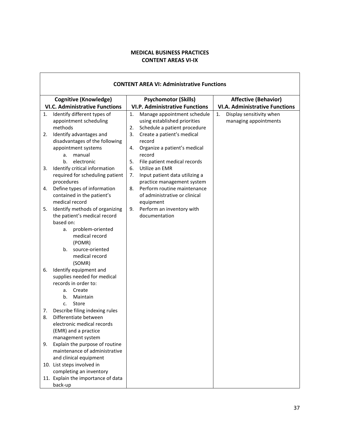#### **MEDICAL BUSINESS PRACTICES CONTENT AREAS VI-IX**

| <b>CONTENT AREA VI: Administrative Functions</b>                                                                                               |                                                                                                         |                                                         |  |  |
|------------------------------------------------------------------------------------------------------------------------------------------------|---------------------------------------------------------------------------------------------------------|---------------------------------------------------------|--|--|
| <b>Cognitive (Knowledge)</b>                                                                                                                   | <b>Psychomotor (Skills)</b>                                                                             | <b>Affective (Behavior)</b>                             |  |  |
| <b>VI.C. Administrative Functions</b>                                                                                                          | <b>VI.P. Administrative Functions</b>                                                                   | <b>VI.A. Administrative Functions</b>                   |  |  |
| Identify different types of<br>1.<br>appointment scheduling<br>methods                                                                         | 1.<br>Manage appointment schedule<br>using established priorities<br>2.<br>Schedule a patient procedure | Display sensitivity when<br>1.<br>managing appointments |  |  |
| Identify advantages and<br>2.<br>disadvantages of the following<br>appointment systems                                                         | 3.<br>Create a patient's medical<br>record<br>Organize a patient's medical<br>4.                        |                                                         |  |  |
| manual<br>а.<br>electronic<br>b.                                                                                                               | record<br>5.<br>File patient medical records                                                            |                                                         |  |  |
| Identify critical information<br>3.<br>required for scheduling patient<br>procedures                                                           | Utilize an EMR<br>6.<br>7.<br>Input patient data utilizing a<br>practice management system              |                                                         |  |  |
| Define types of information<br>4.<br>contained in the patient's<br>medical record                                                              | Perform routine maintenance<br>8.<br>of administrative or clinical<br>equipment                         |                                                         |  |  |
| Identify methods of organizing<br>5.<br>the patient's medical record<br>based on:<br>problem-oriented                                          | Perform an inventory with<br>9.<br>documentation                                                        |                                                         |  |  |
| а.<br>medical record<br>(POMR)                                                                                                                 |                                                                                                         |                                                         |  |  |
| $b_{1}$<br>source-oriented<br>medical record<br>(SOMR)                                                                                         |                                                                                                         |                                                         |  |  |
| Identify equipment and<br>6.<br>supplies needed for medical<br>records in order to:                                                            |                                                                                                         |                                                         |  |  |
| Create<br>а.<br>b.<br>Maintain<br>Store<br>c.                                                                                                  |                                                                                                         |                                                         |  |  |
| Describe filing indexing rules<br>7.<br>8.<br>Differentiate between<br>electronic medical records<br>(EMR) and a practice<br>management system |                                                                                                         |                                                         |  |  |
| Explain the purpose of routine<br>9.<br>maintenance of administrative<br>and clinical equipment                                                |                                                                                                         |                                                         |  |  |
| 10. List steps involved in<br>completing an inventory                                                                                          |                                                                                                         |                                                         |  |  |
| 11. Explain the importance of data<br>back-up                                                                                                  |                                                                                                         |                                                         |  |  |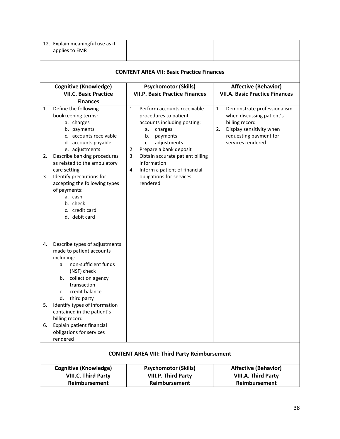| 12. Explain meaningful use as it<br>applies to EMR                                                                                                                                                                                                                                                                                                                                  |                                                                                                                                                                                                                                                                                                                          |                                                                                                                                                                   |  |  |
|-------------------------------------------------------------------------------------------------------------------------------------------------------------------------------------------------------------------------------------------------------------------------------------------------------------------------------------------------------------------------------------|--------------------------------------------------------------------------------------------------------------------------------------------------------------------------------------------------------------------------------------------------------------------------------------------------------------------------|-------------------------------------------------------------------------------------------------------------------------------------------------------------------|--|--|
| <b>CONTENT AREA VII: Basic Practice Finances</b>                                                                                                                                                                                                                                                                                                                                    |                                                                                                                                                                                                                                                                                                                          |                                                                                                                                                                   |  |  |
| <b>Cognitive (Knowledge)</b><br><b>VII.C. Basic Practice</b><br><b>Finances</b>                                                                                                                                                                                                                                                                                                     | <b>Psychomotor (Skills)</b><br><b>VII.P. Basic Practice Finances</b>                                                                                                                                                                                                                                                     | <b>Affective (Behavior)</b><br><b>VII.A. Basic Practice Finances</b>                                                                                              |  |  |
| Define the following<br>1.<br>bookkeeping terms:<br>a. charges<br>b. payments<br>c. accounts receivable<br>d. accounts payable<br>e. adjustments<br>Describe banking procedures<br>2.<br>as related to the ambulatory<br>care setting<br>Identify precautions for<br>3.<br>accepting the following types<br>of payments:<br>a. cash<br>b. check<br>c. credit card<br>d. debit card  | Perform accounts receivable<br>1.<br>procedures to patient<br>accounts including posting:<br>charges<br>а.<br>payments<br>b.<br>adjustments<br>c.<br>Prepare a bank deposit<br>2.<br>3.<br>Obtain accurate patient billing<br>information<br>Inform a patient of financial<br>4.<br>obligations for services<br>rendered | Demonstrate professionalism<br>1.<br>when discussing patient's<br>billing record<br>Display sensitivity when<br>2.<br>requesting payment for<br>services rendered |  |  |
| Describe types of adjustments<br>4.<br>made to patient accounts<br>including:<br>non-sufficient funds<br>a.<br>(NSF) check<br>collection agency<br>b.<br>transaction<br>credit balance<br>c.<br>third party<br>d.<br>Identify types of information<br>5.<br>contained in the patient's<br>billing record<br>Explain patient financial<br>6.<br>obligations for services<br>rendered |                                                                                                                                                                                                                                                                                                                          |                                                                                                                                                                   |  |  |
|                                                                                                                                                                                                                                                                                                                                                                                     | <b>CONTENT AREA VIII: Third Party Reimbursement</b>                                                                                                                                                                                                                                                                      |                                                                                                                                                                   |  |  |
| <b>Cognitive (Knowledge)</b><br><b>VIII.C. Third Party</b><br>Reimbursement                                                                                                                                                                                                                                                                                                         | <b>Psychomotor (Skills)</b><br><b>VIII.P. Third Party</b><br>Reimbursement                                                                                                                                                                                                                                               | <b>Affective (Behavior)</b><br><b>VIII.A. Third Party</b><br>Reimbursement                                                                                        |  |  |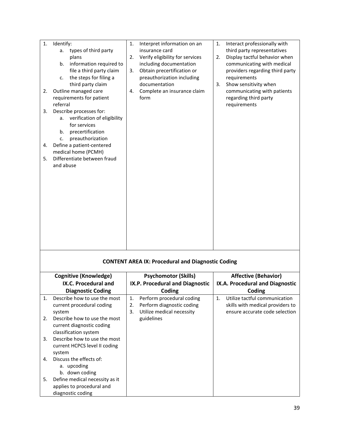| 1.<br>2.<br>3.<br>4.<br>5. | Identify:<br>types of third party<br>а.<br>plans<br>information required to<br>b.<br>file a third party claim<br>the steps for filing a<br>c.<br>third party claim<br>Outline managed care<br>requirements for patient<br>referral<br>Describe processes for:<br>verification of eligibility<br>a.<br>for services<br>precertification<br>b.<br>preauthorization<br>c.<br>Define a patient-centered<br>medical home (PCMH)<br>Differentiate between fraud<br>and abuse | 1.<br>2.<br>3.<br>4. | Interpret information on an<br>insurance card<br>Verify eligibility for services<br>including documentation<br>Obtain precertification or<br>preauthorization including<br>documentation<br>Complete an insurance claim<br>form | 1.<br>2.<br>3. | Interact professionally with<br>third party representatives<br>Display tactful behavior when<br>communicating with medical<br>providers regarding third party<br>requirements<br>Show sensitivity when<br>communicating with patients<br>regarding third party<br>requirements |
|----------------------------|------------------------------------------------------------------------------------------------------------------------------------------------------------------------------------------------------------------------------------------------------------------------------------------------------------------------------------------------------------------------------------------------------------------------------------------------------------------------|----------------------|---------------------------------------------------------------------------------------------------------------------------------------------------------------------------------------------------------------------------------|----------------|--------------------------------------------------------------------------------------------------------------------------------------------------------------------------------------------------------------------------------------------------------------------------------|
|                            |                                                                                                                                                                                                                                                                                                                                                                                                                                                                        |                      | <b>CONTENT AREA IX: Procedural and Diagnostic Coding</b>                                                                                                                                                                        |                |                                                                                                                                                                                                                                                                                |
|                            |                                                                                                                                                                                                                                                                                                                                                                                                                                                                        |                      |                                                                                                                                                                                                                                 |                |                                                                                                                                                                                                                                                                                |
|                            | <b>Cognitive (Knowledge)</b>                                                                                                                                                                                                                                                                                                                                                                                                                                           |                      | <b>Psychomotor (Skills)</b>                                                                                                                                                                                                     |                | <b>Affective (Behavior)</b>                                                                                                                                                                                                                                                    |
|                            | IX.C. Procedural and                                                                                                                                                                                                                                                                                                                                                                                                                                                   |                      | IX.P. Procedural and Diagnostic                                                                                                                                                                                                 |                | IX.A. Procedural and Diagnostic                                                                                                                                                                                                                                                |
|                            | <b>Diagnostic Coding</b>                                                                                                                                                                                                                                                                                                                                                                                                                                               |                      | Coding                                                                                                                                                                                                                          |                | Coding                                                                                                                                                                                                                                                                         |
| 1.                         | Describe how to use the most<br>current procedural coding<br>system                                                                                                                                                                                                                                                                                                                                                                                                    | 1.<br>2.<br>3.       | Perform procedural coding<br>Perform diagnostic coding<br>Utilize medical necessity                                                                                                                                             | 1.             | Utilize tactful communication<br>skills with medical providers to<br>ensure accurate code selection                                                                                                                                                                            |
| 2.                         | Describe how to use the most<br>current diagnostic coding<br>classification system                                                                                                                                                                                                                                                                                                                                                                                     |                      | guidelines                                                                                                                                                                                                                      |                |                                                                                                                                                                                                                                                                                |
| 3.                         | Describe how to use the most<br>current HCPCS level II coding<br>system                                                                                                                                                                                                                                                                                                                                                                                                |                      |                                                                                                                                                                                                                                 |                |                                                                                                                                                                                                                                                                                |
| 4.                         | Discuss the effects of:<br>a. upcoding<br>b. down coding                                                                                                                                                                                                                                                                                                                                                                                                               |                      |                                                                                                                                                                                                                                 |                |                                                                                                                                                                                                                                                                                |
| 5.                         | Define medical necessity as it<br>applies to procedural and<br>diagnostic coding                                                                                                                                                                                                                                                                                                                                                                                       |                      |                                                                                                                                                                                                                                 |                |                                                                                                                                                                                                                                                                                |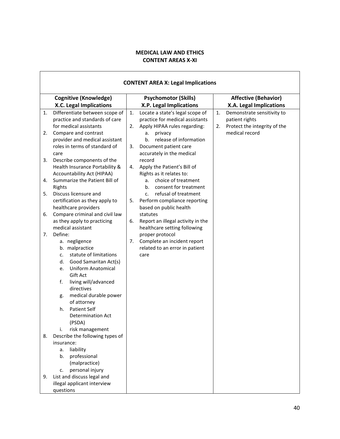## **MEDICAL LAW AND ETHICS CONTENT AREAS X-XI**

r

|    | <b>CONTENT AREA X: Legal Implications</b>                   |                                                                           |  |  |  |
|----|-------------------------------------------------------------|---------------------------------------------------------------------------|--|--|--|
|    | <b>Cognitive (Knowledge)</b>                                | <b>Affective (Behavior)</b><br><b>Psychomotor (Skills)</b>                |  |  |  |
|    | X.C. Legal Implications                                     | X.A. Legal Implications<br>X.P. Legal Implications                        |  |  |  |
| 1. | Differentiate between scope of                              | Locate a state's legal scope of<br>Demonstrate sensitivity to<br>1.<br>1. |  |  |  |
|    | practice and standards of care                              | practice for medical assistants<br>patient rights                         |  |  |  |
|    | for medical assistants                                      | Apply HIPAA rules regarding:<br>Protect the integrity of the<br>2.<br>2.  |  |  |  |
| 2. | Compare and contrast                                        | medical record<br>privacy<br>a.                                           |  |  |  |
|    | provider and medical assistant                              | b.<br>release of information                                              |  |  |  |
|    | roles in terms of standard of                               | 3.<br>Document patient care                                               |  |  |  |
|    | care                                                        | accurately in the medical                                                 |  |  |  |
| 3. | Describe components of the                                  | record                                                                    |  |  |  |
|    | Health Insurance Portability &                              | Apply the Patient's Bill of<br>4.                                         |  |  |  |
| 4. | Accountability Act (HIPAA)<br>Summarize the Patient Bill of | Rights as it relates to:<br>choice of treatment<br>a.                     |  |  |  |
|    | Rights                                                      | consent for treatment<br>b.                                               |  |  |  |
| 5. | Discuss licensure and                                       | refusal of treatment<br>$C_{\cdot}$                                       |  |  |  |
|    | certification as they apply to                              | Perform compliance reporting<br>5.                                        |  |  |  |
|    | healthcare providers                                        | based on public health                                                    |  |  |  |
| 6. | Compare criminal and civil law                              | statutes                                                                  |  |  |  |
|    | as they apply to practicing                                 | Report an illegal activity in the<br>6.                                   |  |  |  |
|    | medical assistant                                           | healthcare setting following                                              |  |  |  |
| 7. | Define:                                                     | proper protocol                                                           |  |  |  |
|    | a. negligence                                               | Complete an incident report<br>7.                                         |  |  |  |
|    | b. malpractice                                              | related to an error in patient                                            |  |  |  |
|    | statute of limitations<br>c.                                | care                                                                      |  |  |  |
|    | Good Samaritan Act(s)<br>d.                                 |                                                                           |  |  |  |
|    | <b>Uniform Anatomical</b><br>e.                             |                                                                           |  |  |  |
|    | Gift Act                                                    |                                                                           |  |  |  |
|    | f.<br>living will/advanced                                  |                                                                           |  |  |  |
|    | directives                                                  |                                                                           |  |  |  |
|    | medical durable power<br>g.                                 |                                                                           |  |  |  |
|    | of attorney<br><b>Patient Self</b><br>h.                    |                                                                           |  |  |  |
|    | <b>Determination Act</b>                                    |                                                                           |  |  |  |
|    | (PSDA)                                                      |                                                                           |  |  |  |
|    | risk management<br>i.                                       |                                                                           |  |  |  |
| 8. | Describe the following types of                             |                                                                           |  |  |  |
|    | insurance:                                                  |                                                                           |  |  |  |
|    | liability<br>a.                                             |                                                                           |  |  |  |
|    | professional<br>b.                                          |                                                                           |  |  |  |
|    | (malpractice)                                               |                                                                           |  |  |  |
|    | personal injury<br>c.                                       |                                                                           |  |  |  |
| 9. | List and discuss legal and                                  |                                                                           |  |  |  |
|    | illegal applicant interview                                 |                                                                           |  |  |  |
|    | questions                                                   |                                                                           |  |  |  |

٦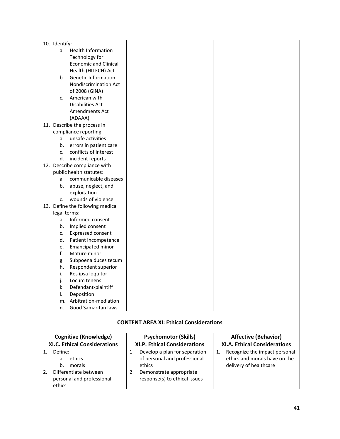#### **CONTENT AREA XI: Ethical Considerations**

| <b>Cognitive (Knowledge)</b><br><b>XI.C. Ethical Considerations</b>                                     | <b>Psychomotor (Skills)</b><br><b>XI.P. Ethical Considerations</b>                                                                        | <b>Affective (Behavior)</b><br><b>XI.A. Ethical Considerations</b>                             |  |
|---------------------------------------------------------------------------------------------------------|-------------------------------------------------------------------------------------------------------------------------------------------|------------------------------------------------------------------------------------------------|--|
|                                                                                                         |                                                                                                                                           |                                                                                                |  |
| Define:<br>ethics<br>a.<br>morals<br>b.<br>Differentiate between<br>personal and professional<br>ethics | Develop a plan for separation<br>1.<br>of personal and professional<br>ethics<br>Demonstrate appropriate<br>response(s) to ethical issues | Recognize the impact personal<br>1.<br>ethics and morals have on the<br>delivery of healthcare |  |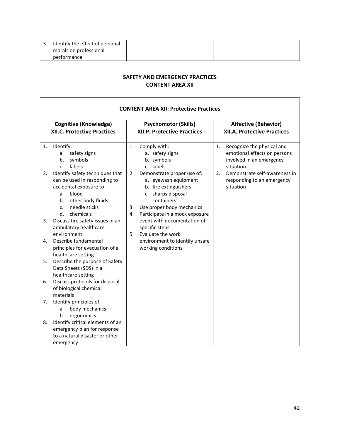| Identify the effect of personal |  |
|---------------------------------|--|
| morals on professional          |  |
| performance                     |  |

#### **SAFETY AND EMERGENCY PRACTICES CONTENT AREA XII**

r

|    | <b>CONTENT AREA XII: Protective Practices</b>                                                                                                                                              |                                                                                                                                                                                                  |                                                                                                           |  |  |
|----|--------------------------------------------------------------------------------------------------------------------------------------------------------------------------------------------|--------------------------------------------------------------------------------------------------------------------------------------------------------------------------------------------------|-----------------------------------------------------------------------------------------------------------|--|--|
|    | <b>Cognitive (Knowledge)</b>                                                                                                                                                               | <b>Psychomotor (Skills)</b>                                                                                                                                                                      | <b>Affective (Behavior)</b>                                                                               |  |  |
|    | <b>XII.C. Protective Practices</b>                                                                                                                                                         | <b>XII.P. Protective Practices</b>                                                                                                                                                               | <b>XII.A. Protective Practices</b>                                                                        |  |  |
| 1. | Identify:<br>safety signs<br>a.<br>symbols<br>b.<br>labels<br>C.                                                                                                                           | 1.<br>Comply with:<br>a. safety signs<br>b. symbols<br>c. labels                                                                                                                                 | Recognize the physical and<br>1.<br>emotional effects on persons<br>involved in an emergency<br>situation |  |  |
| 2. | Identify safety techniques that<br>can be used in responding to<br>accidental exposure to:<br>blood<br>a.<br>other body fluids<br>b.<br>needle sticks<br>C <sub>1</sub><br>d.<br>chemicals | Demonstrate proper use of:<br>2.<br>a. eyewash equipment<br>b. fire extinguishers<br>c. sharps disposal<br>containers<br>Use proper body mechanics<br>3.<br>4.<br>Participate in a mock exposure | Demonstrate self-awareness in<br>2.<br>responding to an emergency<br>situation                            |  |  |
| 3. | Discuss fire safety issues in an<br>ambulatory healthcare<br>environment                                                                                                                   | event with documentation of<br>specific steps<br>Evaluate the work<br>5.                                                                                                                         |                                                                                                           |  |  |
| 4. | Describe fundamental<br>principles for evacuation of a<br>healthcare setting                                                                                                               | environment to identify unsafe<br>working conditions                                                                                                                                             |                                                                                                           |  |  |
| 5. | Describe the purpose of Safety<br>Data Sheets (SDS) in a<br>healthcare setting                                                                                                             |                                                                                                                                                                                                  |                                                                                                           |  |  |
| 6. | Discuss protocols for disposal<br>of biological chemical<br>materials                                                                                                                      |                                                                                                                                                                                                  |                                                                                                           |  |  |
| 7. | Identify principles of:<br>body mechanics<br>a.<br>ergonomics<br>b.                                                                                                                        |                                                                                                                                                                                                  |                                                                                                           |  |  |
| 8. | Identify critical elements of an<br>emergency plan for response<br>to a natural disaster or other<br>emergency                                                                             |                                                                                                                                                                                                  |                                                                                                           |  |  |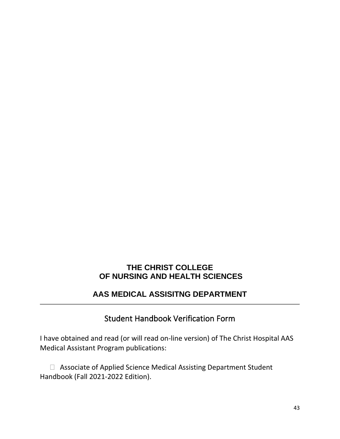# **THE CHRIST COLLEGE OF NURSING AND HEALTH SCIENCES**

# **AAS MEDICAL ASSISITNG DEPARTMENT**

# Student Handbook Verification Form

<span id="page-42-0"></span>I have obtained and read (or will read on-line version) of The Christ Hospital AAS Medical Assistant Program publications:

 Associate of Applied Science Medical Assisting Department Student Handbook (Fall 2021-2022 Edition).